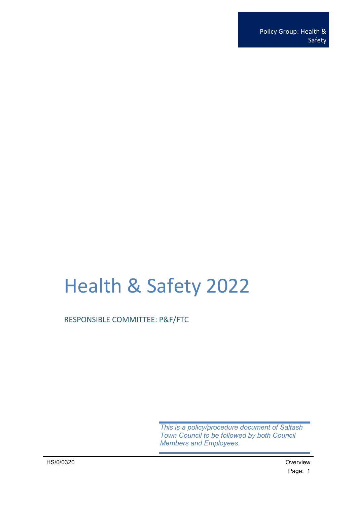# Health & Safety 2022

RESPONSIBLE COMMITTEE: P&F/FTC

*This is a policy/procedure document of Saltash Town Council to be followed by both Council Members and Employees.*

HS/0/0320 Overview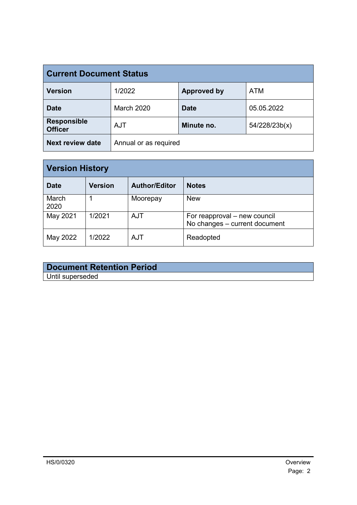| <b>Current Document Status</b>       |                       |                    |               |
|--------------------------------------|-----------------------|--------------------|---------------|
| <b>Version</b>                       | 1/2022                | <b>Approved by</b> | <b>ATM</b>    |
| <b>Date</b>                          | <b>March 2020</b>     | <b>Date</b>        | 05.05.2022    |
| <b>Responsible</b><br><b>Officer</b> | <b>AJT</b>            | Minute no.         | 54/228/23b(x) |
| <b>Next review date</b>              | Annual or as required |                    |               |

| <b>Version History</b> |                |                      |                                                               |  |
|------------------------|----------------|----------------------|---------------------------------------------------------------|--|
| <b>Date</b>            | <b>Version</b> | <b>Author/Editor</b> | <b>Notes</b>                                                  |  |
| March<br>2020          |                | Moorepay             | <b>New</b>                                                    |  |
| May 2021               | 1/2021         | <b>AJT</b>           | For reapproval – new council<br>No changes - current document |  |
| May 2022               | 1/2022         | <b>AJT</b>           | Readopted                                                     |  |

### **Document Retention Period** Until superseded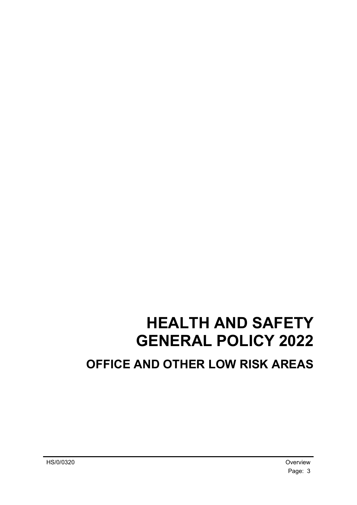# **HEALTH AND SAFETY GENERAL POLICY 2022 OFFICE AND OTHER LOW RISK AREAS**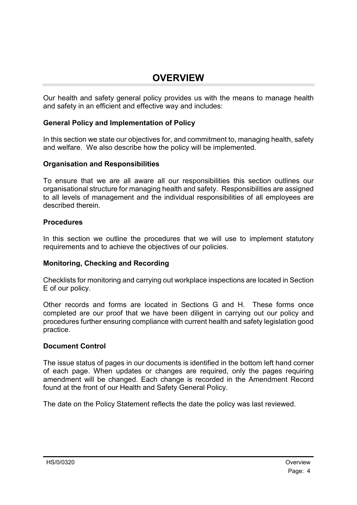### <span id="page-3-0"></span>**OVERVIEW**

Our health and safety general policy provides us with the means to manage health and safety in an efficient and effective way and includes:

### **General Policy and Implementation of Policy**

In this section we state our objectives for, and commitment to, managing health, safety and welfare. We also describe how the policy will be implemented.

#### **Organisation and Responsibilities**

To ensure that we are all aware all our responsibilities this section outlines our organisational structure for managing health and safety. Responsibilities are assigned to all levels of management and the individual responsibilities of all employees are described therein.

#### **Procedures**

In this section we outline the procedures that we will use to implement statutory requirements and to achieve the objectives of our policies.

#### **Monitoring, Checking and Recording**

Checklists for monitoring and carrying out workplace inspections are located in Section E of our policy.

Other records and forms are located in Sections G and H. These forms once completed are our proof that we have been diligent in carrying out our policy and procedures further ensuring compliance with current health and safety legislation good practice.

#### **Document Control**

The issue status of pages in our documents is identified in the bottom left hand corner of each page. When updates or changes are required, only the pages requiring amendment will be changed. Each change is recorded in the Amendment Record found at the front of our Health and Safety General Policy.

The date on the Policy Statement reflects the date the policy was last reviewed.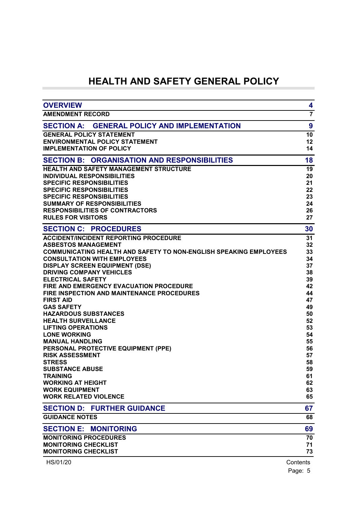### **HEALTH AND SAFETY GENERAL POLICY**

| <b>OVERVIEW</b>                                                          | 4              |
|--------------------------------------------------------------------------|----------------|
| <b>AMENDMENT RECORD</b>                                                  | $\overline{7}$ |
| <b>GENERAL POLICY AND IMPLEMENTATION</b><br><b>SECTION A:</b>            | 9              |
| <b>GENERAL POLICY STATEMENT</b>                                          | 10             |
| <b>ENVIRONMENTAL POLICY STATEMENT</b>                                    | 12             |
| <b>IMPLEMENTATION OF POLICY</b>                                          | 14             |
| <b>ORGANISATION AND RESPONSIBILITIES</b><br><b>SECTION B:</b>            | 18             |
| <b>HEALTH AND SAFETY MANAGEMENT STRUCTURE</b>                            | 19             |
| <b>INDIVIDUAL RESPONSIBILITIES</b>                                       | 20             |
| <b>SPECIFIC RESPONSIBILITIES</b>                                         | 21             |
| <b>SPECIFIC RESPONSIBILITIES</b>                                         | 22             |
| <b>SPECIFIC RESPONSIBILITIES</b>                                         | 23             |
| <b>SUMMARY OF RESPONSIBILITIES</b>                                       | 24             |
| <b>RESPONSIBILITIES OF CONTRACTORS</b><br><b>RULES FOR VISITORS</b>      | 26<br>27       |
|                                                                          |                |
| <b>SECTION C: PROCEDURES</b>                                             | 30             |
| <b>ACCIDENT/INCIDENT REPORTING PROCEDURE</b>                             | 31             |
| <b>ASBESTOS MANAGEMENT</b>                                               | 32             |
| <b>COMMUNICATING HEALTH AND SAFETY TO NON-ENGLISH SPEAKING EMPLOYEES</b> | 33             |
| <b>CONSULTATION WITH EMPLOYEES</b>                                       | 34             |
| <b>DISPLAY SCREEN EQUIPMENT (DSE)</b><br><b>DRIVING COMPANY VEHICLES</b> | 37<br>38       |
| <b>ELECTRICAL SAFETY</b>                                                 | 39             |
| <b>FIRE AND EMERGENCY EVACUATION PROCEDURE</b>                           | 42             |
| <b>FIRE INSPECTION AND MAINTENANCE PROCEDURES</b>                        | 44             |
| <b>FIRST AID</b>                                                         | 47             |
| <b>GAS SAFETY</b>                                                        | 49             |
| <b>HAZARDOUS SUBSTANCES</b>                                              | 50             |
| <b>HEALTH SURVEILLANCE</b>                                               | 52             |
| <b>LIFTING OPERATIONS</b>                                                | 53             |
| <b>LONE WORKING</b>                                                      | 54             |
| <b>MANUAL HANDLING</b>                                                   | 55             |
| PERSONAL PROTECTIVE EQUIPMENT (PPE)                                      | 56             |
| <b>RISK ASSESSMENT</b>                                                   | 57             |
| <b>STRESS</b>                                                            | 58             |
| <b>SUBSTANCE ABUSE</b>                                                   | 59             |
| <b>TRAINING</b>                                                          | 61             |
| <b>WORKING AT HEIGHT</b><br><b>WORK EQUIPMENT</b>                        | 62<br>63       |
| <b>WORK RELATED VIOLENCE</b>                                             | 65             |
|                                                                          |                |
| <b>SECTION D: FURTHER GUIDANCE</b>                                       | 67             |
| <b>GUIDANCE NOTES</b>                                                    | 68             |
| <b>SECTION E:</b><br><b>MONITORING</b>                                   | 69             |
| <b>MONITORING PROCEDURES</b>                                             | 70             |
| <b>MONITORING CHECKLIST</b>                                              | 71             |
| <b>MONITORING CHECKLIST</b>                                              | 73             |
| HS/01/20                                                                 | Contents       |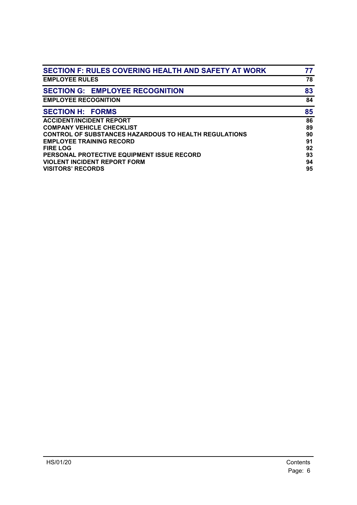| <b>SECTION F: RULES COVERING HEALTH AND SAFETY AT WORK</b>   | 77 |
|--------------------------------------------------------------|----|
| <b>EMPLOYEE RULES</b>                                        | 78 |
| <b>SECTION G: EMPLOYEE RECOGNITION</b>                       | 83 |
| <b>EMPLOYEE RECOGNITION</b>                                  | 84 |
| <b>SECTION H: FORMS</b>                                      | 85 |
| <b>ACCIDENT/INCIDENT REPORT</b>                              | 86 |
| <b>COMPANY VEHICLE CHECKLIST</b>                             | 89 |
| <b>CONTROL OF SUBSTANCES HAZARDOUS TO HEALTH REGULATIONS</b> | 90 |
| <b>EMPLOYEE TRAINING RECORD</b>                              | 91 |
| <b>FIRE LOG</b>                                              | 92 |
| PERSONAL PROTECTIVE EQUIPMENT ISSUE RECORD                   | 93 |
| <b>VIOLENT INCIDENT REPORT FORM</b>                          | 94 |
| <b>VISITORS' RECORDS</b>                                     | 95 |
|                                                              |    |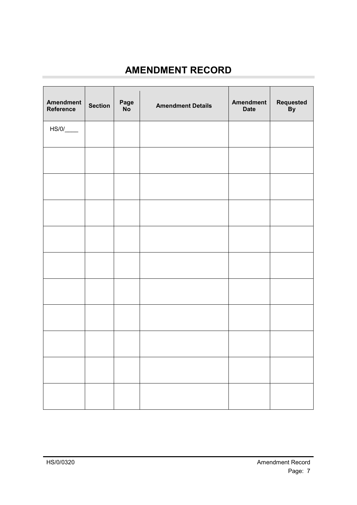## <span id="page-6-0"></span>**AMENDMENT RECORD**

| <b>Amendment</b><br>Reference | <b>Section</b> | Page<br><b>No</b> | <b>Amendment Details</b> | <b>Amendment</b><br><b>Date</b> | Requested<br>By |
|-------------------------------|----------------|-------------------|--------------------------|---------------------------------|-----------------|
|                               |                |                   |                          |                                 |                 |
|                               |                |                   |                          |                                 |                 |
|                               |                |                   |                          |                                 |                 |
|                               |                |                   |                          |                                 |                 |
|                               |                |                   |                          |                                 |                 |
|                               |                |                   |                          |                                 |                 |
|                               |                |                   |                          |                                 |                 |
|                               |                |                   |                          |                                 |                 |
|                               |                |                   |                          |                                 |                 |
|                               |                |                   |                          |                                 |                 |
|                               |                |                   |                          |                                 |                 |

×.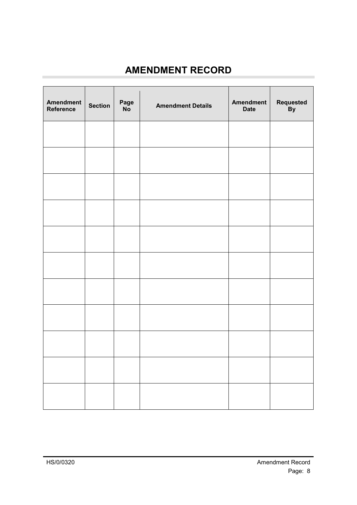## **AMENDMENT RECORD**

| <b>Amendment</b><br>Reference | <b>Section</b> | Page<br>No | <b>Amendment Details</b> | <b>Amendment</b><br><b>Date</b> | Requested<br>By |
|-------------------------------|----------------|------------|--------------------------|---------------------------------|-----------------|
|                               |                |            |                          |                                 |                 |
|                               |                |            |                          |                                 |                 |
|                               |                |            |                          |                                 |                 |
|                               |                |            |                          |                                 |                 |
|                               |                |            |                          |                                 |                 |
|                               |                |            |                          |                                 |                 |
|                               |                |            |                          |                                 |                 |
|                               |                |            |                          |                                 |                 |
|                               |                |            |                          |                                 |                 |
|                               |                |            |                          |                                 |                 |
|                               |                |            |                          |                                 |                 |

×.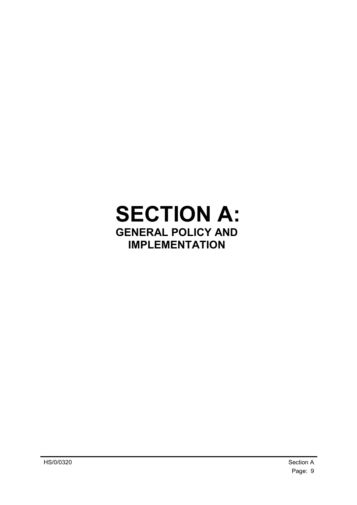## <span id="page-8-0"></span>**SECTION A: GENERAL POLICY AND IMPLEMENTATION**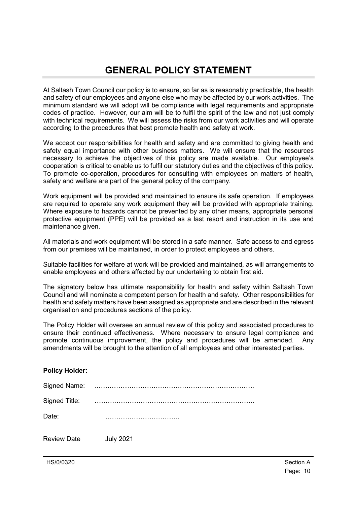<span id="page-9-0"></span>At Saltash Town Council our policy is to ensure, so far as is reasonably practicable, the health and safety of our employees and anyone else who may be affected by our work activities. The minimum standard we will adopt will be compliance with legal requirements and appropriate codes of practice. However, our aim will be to fulfil the spirit of the law and not just comply with technical requirements. We will assess the risks from our work activities and will operate according to the procedures that best promote health and safety at work.

We accept our responsibilities for health and safety and are committed to giving health and safety equal importance with other business matters. We will ensure that the resources necessary to achieve the objectives of this policy are made available. Our employee's cooperation is critical to enable us to fulfil our statutory duties and the objectives of this policy. To promote co-operation, procedures for consulting with employees on matters of health, safety and welfare are part of the general policy of the company.

Work equipment will be provided and maintained to ensure its safe operation. If employees are required to operate any work equipment they will be provided with appropriate training. Where exposure to hazards cannot be prevented by any other means, appropriate personal protective equipment (PPE) will be provided as a last resort and instruction in its use and maintenance given.

All materials and work equipment will be stored in a safe manner. Safe access to and egress from our premises will be maintained, in order to protect employees and others.

Suitable facilities for welfare at work will be provided and maintained, as will arrangements to enable employees and others affected by our undertaking to obtain first aid.

The signatory below has ultimate responsibility for health and safety within Saltash Town Council and will nominate a competent person for health and safety. Other responsibilities for health and safety matters have been assigned as appropriate and are described in the relevant organisation and procedures sections of the policy.

The Policy Holder will oversee an annual review of this policy and associated procedures to ensure their continued effectiveness. Where necessary to ensure legal compliance and promote continuous improvement, the policy and procedures will be amended. Any amendments will be brought to the attention of all employees and other interested parties.

#### **Policy Holder:**

| Signed Name:       | .                |
|--------------------|------------------|
| Signed Title:      |                  |
| Date:              |                  |
| <b>Review Date</b> | <b>July 2021</b> |

HS/0/0320 Section A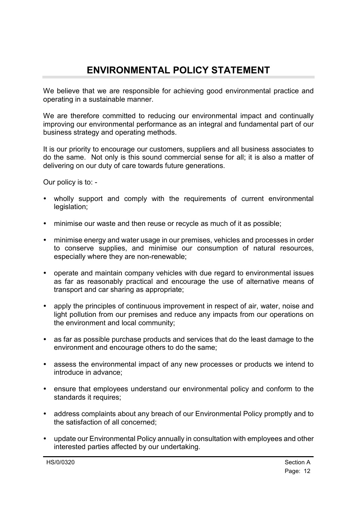## <span id="page-11-0"></span>**ENVIRONMENTAL POLICY STATEMENT**

We believe that we are responsible for achieving good environmental practice and operating in a sustainable manner.

We are therefore committed to reducing our environmental impact and continually improving our environmental performance as an integral and fundamental part of our business strategy and operating methods.

It is our priority to encourage our customers, suppliers and all business associates to do the same. Not only is this sound commercial sense for all; it is also a matter of delivering on our duty of care towards future generations.

Our policy is to: -

- wholly support and comply with the requirements of current environmental legislation;
- minimise our waste and then reuse or recycle as much of it as possible;
- minimise energy and water usage in our premises, vehicles and processes in order to conserve supplies, and minimise our consumption of natural resources, especially where they are non-renewable;
- operate and maintain company vehicles with due regard to environmental issues as far as reasonably practical and encourage the use of alternative means of transport and car sharing as appropriate;
- apply the principles of continuous improvement in respect of air, water, noise and light pollution from our premises and reduce any impacts from our operations on the environment and local community;
- as far as possible purchase products and services that do the least damage to the environment and encourage others to do the same;
- assess the environmental impact of any new processes or products we intend to introduce in advance;
- ensure that employees understand our environmental policy and conform to the standards it requires:
- address complaints about any breach of our Environmental Policy promptly and to the satisfaction of all concerned;
- update our Environmental Policy annually in consultation with employees and other interested parties affected by our undertaking.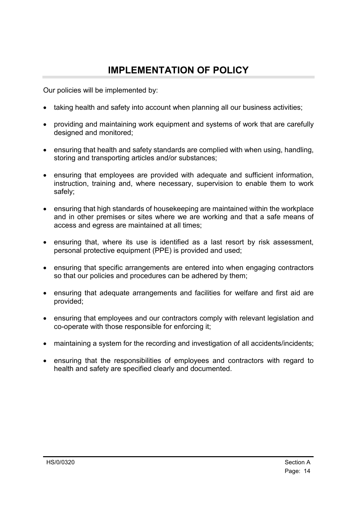### <span id="page-13-0"></span>**IMPLEMENTATION OF POLICY**

Our policies will be implemented by:

- taking health and safety into account when planning all our business activities;
- providing and maintaining work equipment and systems of work that are carefully designed and monitored;
- ensuring that health and safety standards are complied with when using, handling, storing and transporting articles and/or substances;
- ensuring that employees are provided with adequate and sufficient information, instruction, training and, where necessary, supervision to enable them to work safely;
- ensuring that high standards of housekeeping are maintained within the workplace and in other premises or sites where we are working and that a safe means of access and egress are maintained at all times;
- ensuring that, where its use is identified as a last resort by risk assessment, personal protective equipment (PPE) is provided and used;
- ensuring that specific arrangements are entered into when engaging contractors so that our policies and procedures can be adhered by them;
- ensuring that adequate arrangements and facilities for welfare and first aid are provided;
- ensuring that employees and our contractors comply with relevant legislation and co-operate with those responsible for enforcing it;
- maintaining a system for the recording and investigation of all accidents/incidents;
- ensuring that the responsibilities of employees and contractors with regard to health and safety are specified clearly and documented.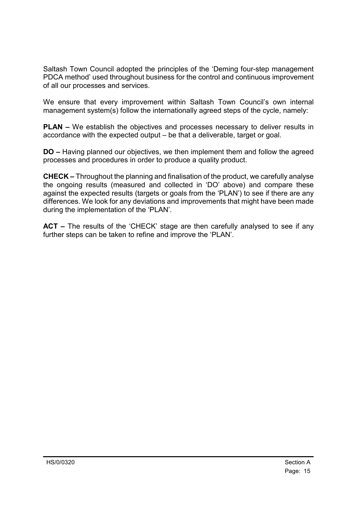Saltash Town Council adopted the principles of the 'Deming four-step management PDCA method' used throughout business for the control and continuous improvement of all our processes and services.

We ensure that every improvement within Saltash Town Council's own internal management system(s) follow the internationally agreed steps of the cycle, namely:

**PLAN –** We establish the objectives and processes necessary to deliver results in accordance with the expected output – be that a deliverable, target or goal.

**DO –** Having planned our objectives, we then implement them and follow the agreed processes and procedures in order to produce a quality product.

**CHECK –** Throughout the planning and finalisation of the product, we carefully analyse the ongoing results (measured and collected in 'DO' above) and compare these against the expected results (targets or goals from the 'PLAN') to see if there are any differences. We look for any deviations and improvements that might have been made during the implementation of the 'PLAN'.

**ACT –** The results of the 'CHECK' stage are then carefully analysed to see if any further steps can be taken to refine and improve the 'PLAN'.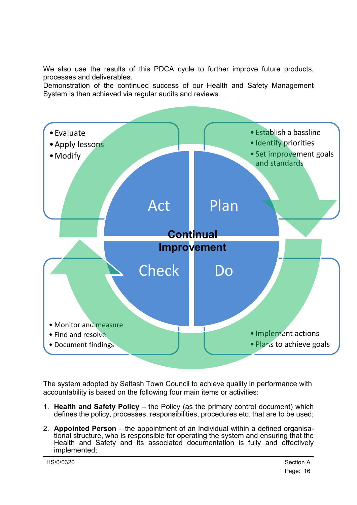We also use the results of this PDCA cycle to further improve future products, processes and deliverables.

Demonstration of the continued success of our Health and Safety Management System is then achieved via regular audits and reviews.



The system adopted by Saltash Town Council to achieve quality in performance with accountability is based on the following four main items or activities:

- 1. **Health and Safety Policy** the Policy (as the primary control document) which defines the policy, processes, responsibilities, procedures etc. that are to be used;
- 2. **Appointed Person**  the appointment of an Individual within a defined organisational structure, who is responsible for operating the system and ensuring that the Health and Safety and its associated documentation is fully and effectively implemented;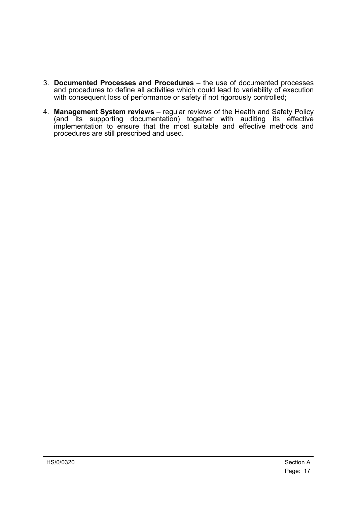- 3. **Documented Processes and Procedures** the use of documented processes and procedures to define all activities which could lead to variability of execution with consequent loss of performance or safety if not rigorously controlled;
- 4. **Management System reviews** regular reviews of the Health and Safety Policy (and its supporting documentation) together with auditing its effective implementation to ensure that the most suitable and effective methods and procedures are still prescribed and used.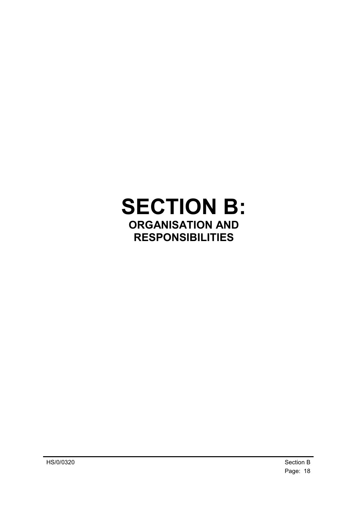# <span id="page-17-0"></span>**SECTION B: ORGANISATION AND RESPONSIBILITIES**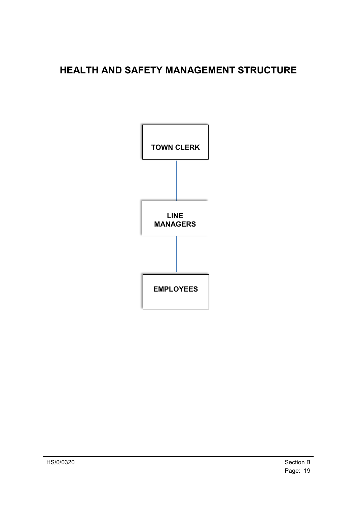## <span id="page-18-0"></span>**HEALTH AND SAFETY MANAGEMENT STRUCTURE**

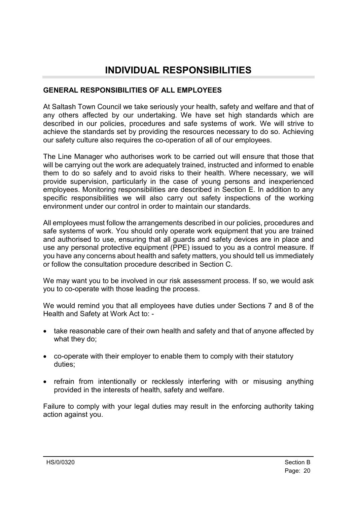### <span id="page-19-0"></span>**INDIVIDUAL RESPONSIBILITIES**

### **GENERAL RESPONSIBILITIES OF ALL EMPLOYEES**

At Saltash Town Council we take seriously your health, safety and welfare and that of any others affected by our undertaking. We have set high standards which are described in our policies, procedures and safe systems of work. We will strive to achieve the standards set by providing the resources necessary to do so. Achieving our safety culture also requires the co-operation of all of our employees.

The Line Manager who authorises work to be carried out will ensure that those that will be carrying out the work are adequately trained, instructed and informed to enable them to do so safely and to avoid risks to their health. Where necessary, we will provide supervision, particularly in the case of young persons and inexperienced employees. Monitoring responsibilities are described in Section E. In addition to any specific responsibilities we will also carry out safety inspections of the working environment under our control in order to maintain our standards.

All employees must follow the arrangements described in our policies, procedures and safe systems of work. You should only operate work equipment that you are trained and authorised to use, ensuring that all guards and safety devices are in place and use any personal protective equipment (PPE) issued to you as a control measure. If you have any concerns about health and safety matters, you should tell us immediately or follow the consultation procedure described in Section C.

We may want you to be involved in our risk assessment process. If so, we would ask you to co-operate with those leading the process.

We would remind you that all employees have duties under Sections 7 and 8 of the Health and Safety at Work Act to: -

- take reasonable care of their own health and safety and that of anyone affected by what they do;
- co-operate with their employer to enable them to comply with their statutory duties;
- refrain from intentionally or recklessly interfering with or misusing anything provided in the interests of health, safety and welfare.

Failure to comply with your legal duties may result in the enforcing authority taking action against you.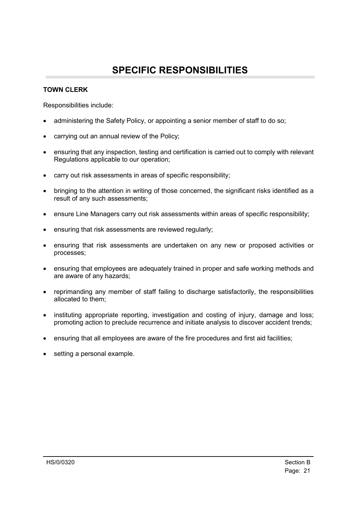### **SPECIFIC RESPONSIBILITIES**

#### <span id="page-20-0"></span>**TOWN CLERK**

Responsibilities include:

- administering the Safety Policy, or appointing a senior member of staff to do so;
- carrying out an annual review of the Policy;
- ensuring that any inspection, testing and certification is carried out to comply with relevant Regulations applicable to our operation;
- carry out risk assessments in areas of specific responsibility;
- bringing to the attention in writing of those concerned, the significant risks identified as a result of any such assessments;
- ensure Line Managers carry out risk assessments within areas of specific responsibility;
- ensuring that risk assessments are reviewed regularly;
- ensuring that risk assessments are undertaken on any new or proposed activities or processes;
- ensuring that employees are adequately trained in proper and safe working methods and are aware of any hazards;
- reprimanding any member of staff failing to discharge satisfactorily, the responsibilities allocated to them;
- instituting appropriate reporting, investigation and costing of injury, damage and loss; promoting action to preclude recurrence and initiate analysis to discover accident trends;
- ensuring that all employees are aware of the fire procedures and first aid facilities;
- setting a personal example.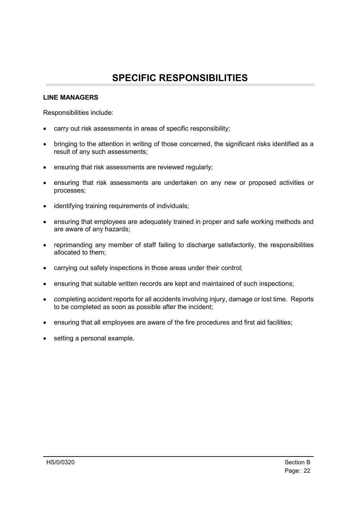### **SPECIFIC RESPONSIBILITIES**

#### <span id="page-21-0"></span>**LINE MANAGERS**

Responsibilities include:

- carry out risk assessments in areas of specific responsibility;
- bringing to the attention in writing of those concerned, the significant risks identified as a result of any such assessments;
- ensuring that risk assessments are reviewed regularly;
- ensuring that risk assessments are undertaken on any new or proposed activities or processes;
- identifying training requirements of individuals;
- ensuring that employees are adequately trained in proper and safe working methods and are aware of any hazards;
- reprimanding any member of staff failing to discharge satisfactorily, the responsibilities allocated to them;
- carrying out safety inspections in those areas under their control;
- ensuring that suitable written records are kept and maintained of such inspections;
- completing accident reports for all accidents involving injury, damage or lost time. Reports to be completed as soon as possible after the incident;
- ensuring that all employees are aware of the fire procedures and first aid facilities;
- setting a personal example.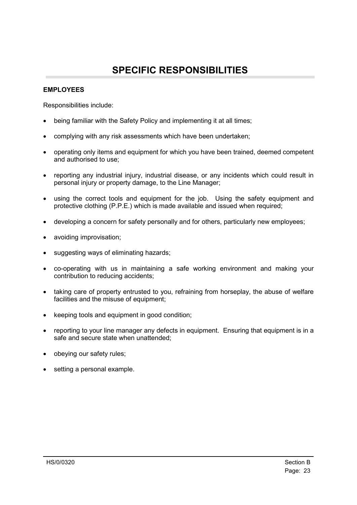## **SPECIFIC RESPONSIBILITIES**

#### <span id="page-22-0"></span>**EMPLOYEES**

Responsibilities include:

- being familiar with the Safety Policy and implementing it at all times;
- complying with any risk assessments which have been undertaken;
- operating only items and equipment for which you have been trained, deemed competent and authorised to use;
- reporting any industrial injury, industrial disease, or any incidents which could result in personal injury or property damage, to the Line Manager;
- using the correct tools and equipment for the job. Using the safety equipment and protective clothing (P.P.E.) which is made available and issued when required;
- developing a concern for safety personally and for others, particularly new employees;
- avoiding improvisation;
- suggesting ways of eliminating hazards;
- co-operating with us in maintaining a safe working environment and making your contribution to reducing accidents;
- taking care of property entrusted to you, refraining from horseplay, the abuse of welfare facilities and the misuse of equipment:
- keeping tools and equipment in good condition;
- reporting to your line manager any defects in equipment. Ensuring that equipment is in a safe and secure state when unattended;
- obeying our safety rules;
- setting a personal example.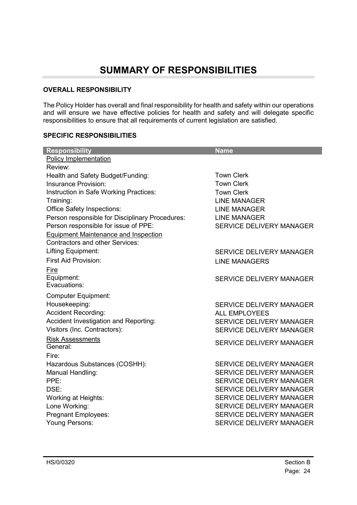#### <span id="page-23-0"></span>**OVERALL RESPONSIBILITY**

The Policy Holder has overall and final responsibility for health and safety within our operations and will ensure we have effective policies for health and safety and will delegate specific responsibilities to ensure that all requirements of current legislation are satisfied.

#### **SPECIFIC RESPONSIBILITIES**

| <b>Responsibility</b>                           | <b>Name</b>                     |
|-------------------------------------------------|---------------------------------|
| <b>Policy Implementation</b>                    |                                 |
| Review:                                         |                                 |
| Health and Safety Budget/Funding:               | <b>Town Clerk</b>               |
| Insurance Provision:                            | <b>Town Clerk</b>               |
| Instruction in Safe Working Practices:          | <b>Town Clerk</b>               |
| Training:                                       | <b>LINE MANAGER</b>             |
| <b>Office Safety Inspections:</b>               | <b>LINE MANAGER</b>             |
| Person responsible for Disciplinary Procedures: | <b>LINE MANAGER</b>             |
| Person responsible for issue of PPE:            | <b>SERVICE DELIVERY MANAGER</b> |
| <b>Equipment Maintenance and Inspection</b>     |                                 |
| <b>Contractors and other Services:</b>          |                                 |
| Lifting Equipment:                              | <b>SERVICE DELIVERY MANAGER</b> |
| <b>First Aid Provision:</b>                     | <b>LINE MANAGERS</b>            |
| Fire                                            |                                 |
| Equipment:                                      | <b>SERVICE DELIVERY MANAGER</b> |
| Evacuations:                                    |                                 |
| <b>Computer Equipment:</b>                      |                                 |
| Housekeeping:                                   | <b>SERVICE DELIVERY MANAGER</b> |
| <b>Accident Recording:</b>                      | <b>ALL EMPLOYEES</b>            |
| Accident Investigation and Reporting:           | <b>SERVICE DELIVERY MANAGER</b> |
| Visitors (Inc. Contractors):                    | <b>SERVICE DELIVERY MANAGER</b> |
| <b>Risk Assessments</b>                         | <b>SERVICE DELIVERY MANAGER</b> |
| General:                                        |                                 |
| Fire:                                           |                                 |
| Hazardous Substances (COSHH):                   | <b>SERVICE DELIVERY MANAGER</b> |
| Manual Handling:                                | <b>SERVICE DELIVERY MANAGER</b> |
| PPE:                                            | <b>SERVICE DELIVERY MANAGER</b> |
| DSE:                                            | <b>SERVICE DELIVERY MANAGER</b> |
| <b>Working at Heights:</b>                      | <b>SERVICE DELIVERY MANAGER</b> |
| Lone Working:                                   | <b>SERVICE DELIVERY MANAGER</b> |
| <b>Pregnant Employees:</b>                      | <b>SERVICE DELIVERY MANAGER</b> |
| Young Persons:                                  | <b>SERVICE DELIVERY MANAGER</b> |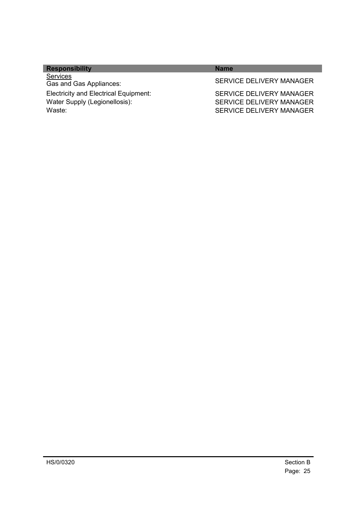| <b>Responsibility</b>                                                                   | <b>Name</b>                                                                                    |
|-----------------------------------------------------------------------------------------|------------------------------------------------------------------------------------------------|
| <b>Services</b><br>Gas and Gas Appliances:                                              | <b>SERVICE DELIVERY MANAGER</b>                                                                |
| <b>Electricity and Electrical Equipment:</b><br>Water Supply (Legionellosis):<br>Waste: | <b>SERVICE DELIVERY MANAGER</b><br>SERVICE DELIVERY MANAGER<br><b>SERVICE DELIVERY MANAGER</b> |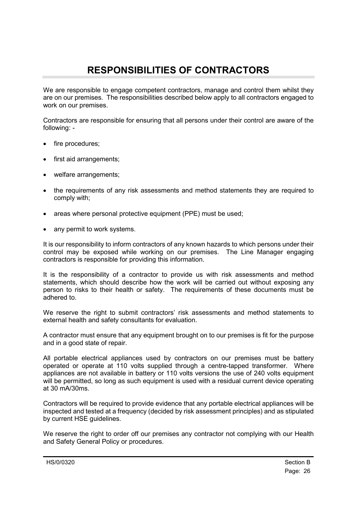## <span id="page-25-0"></span>**RESPONSIBILITIES OF CONTRACTORS**

We are responsible to engage competent contractors, manage and control them whilst they are on our premises. The responsibilities described below apply to all contractors engaged to work on our premises.

Contractors are responsible for ensuring that all persons under their control are aware of the following: -

- fire procedures:
- first aid arrangements;
- welfare arrangements;
- the requirements of any risk assessments and method statements they are required to comply with;
- areas where personal protective equipment (PPE) must be used;
- any permit to work systems.

It is our responsibility to inform contractors of any known hazards to which persons under their control may be exposed while working on our premises. The Line Manager engaging contractors is responsible for providing this information.

It is the responsibility of a contractor to provide us with risk assessments and method statements, which should describe how the work will be carried out without exposing any person to risks to their health or safety. The requirements of these documents must be adhered to.

We reserve the right to submit contractors' risk assessments and method statements to external health and safety consultants for evaluation.

A contractor must ensure that any equipment brought on to our premises is fit for the purpose and in a good state of repair.

All portable electrical appliances used by contractors on our premises must be battery operated or operate at 110 volts supplied through a centre-tapped transformer. Where appliances are not available in battery or 110 volts versions the use of 240 volts equipment will be permitted, so long as such equipment is used with a residual current device operating at 30 mA/30ms.

Contractors will be required to provide evidence that any portable electrical appliances will be inspected and tested at a frequency (decided by risk assessment principles) and as stipulated by current HSE guidelines.

We reserve the right to order off our premises any contractor not complying with our Health and Safety General Policy or procedures.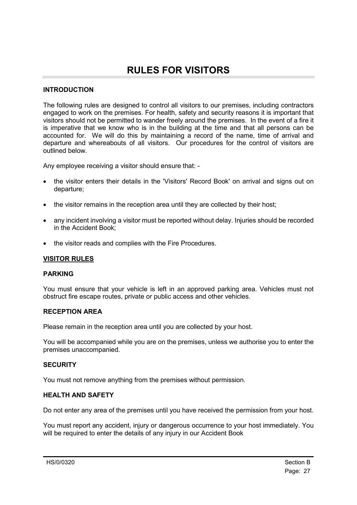### <span id="page-26-0"></span>**RULES FOR VISITORS**

#### **INTRODUCTION**

The following rules are designed to control all visitors to our premises, including contractors engaged to work on the premises. For health, safety and security reasons it is important that visitors should not be permitted to wander freely around the premises. In the event of a fire it is imperative that we know who is in the building at the time and that all persons can be accounted for. We will do this by maintaining a record of the name, time of arrival and departure and whereabouts of all visitors. Our procedures for the control of visitors are outlined below.

Any employee receiving a visitor should ensure that: -

- the visitor enters their details in the 'Visitors' Record Book' on arrival and signs out on departure;
- the visitor remains in the reception area until they are collected by their host;
- any incident involving a visitor must be reported without delay. Injuries should be recorded in the Accident Book;
- the visitor reads and complies with the Fire Procedures.

#### **VISITOR RULES**

#### **PARKING**

You must ensure that your vehicle is left in an approved parking area. Vehicles must not obstruct fire escape routes, private or public access and other vehicles.

#### **RECEPTION AREA**

Please remain in the reception area until you are collected by your host.

You will be accompanied while you are on the premises, unless we authorise you to enter the premises unaccompanied.

#### **SECURITY**

You must not remove anything from the premises without permission.

#### **HEALTH AND SAFETY**

Do not enter any area of the premises until you have received the permission from your host.

You must report any accident, injury or dangerous occurrence to your host immediately. You will be required to enter the details of any injury in our Accident Book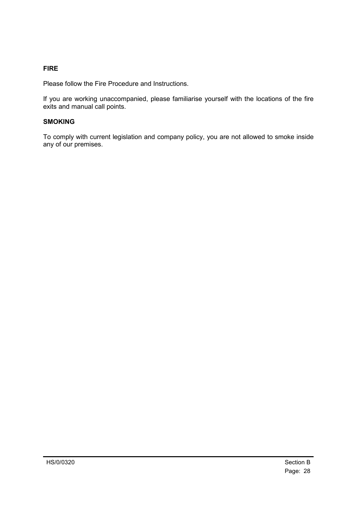### **FIRE**

Please follow the Fire Procedure and Instructions.

If you are working unaccompanied, please familiarise yourself with the locations of the fire exits and manual call points.

#### **SMOKING**

To comply with current legislation and company policy, you are not allowed to smoke inside any of our premises.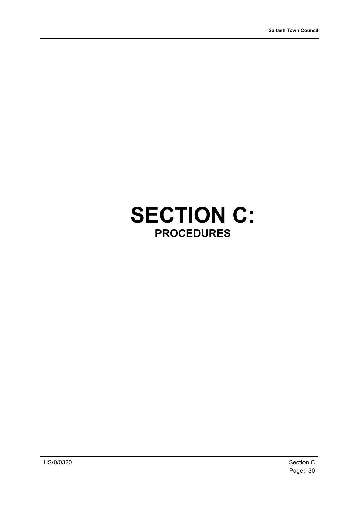# <span id="page-29-0"></span>**SECTION C: PROCEDURES**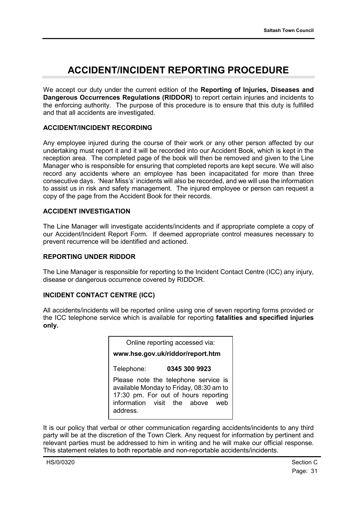### <span id="page-30-0"></span>**ACCIDENT/INCIDENT REPORTING PROCEDURE**

We accept our duty under the current edition of the **Reporting of Injuries, Diseases and Dangerous Occurrences Regulations (RIDDOR)** to report certain injuries and incidents to the enforcing authority. The purpose of this procedure is to ensure that this duty is fulfilled and that all accidents are investigated.

#### **ACCIDENT/INCIDENT RECORDING**

Any employee injured during the course of their work or any other person affected by our undertaking must report it and it will be recorded into our Accident Book, which is kept in the reception area. The completed page of the book will then be removed and given to the Line Manager who is responsible for ensuring that completed reports are kept secure. We will also record any accidents where an employee has been incapacitated for more than three consecutive days. 'Near Miss's' incidents will also be recorded, and we will use the information to assist us in risk and safety management. The injured employee or person can request a copy of the page from the Accident Book for their records.

#### **ACCIDENT INVESTIGATION**

The Line Manager will investigate accidents/incidents and if appropriate complete a copy of our Accident/Incident Report Form. If deemed appropriate control measures necessary to prevent recurrence will be identified and actioned.

#### **REPORTING UNDER RIDDOR**

The Line Manager is responsible for reporting to the Incident Contact Centre (ICC) any injury, disease or dangerous occurrence covered by RIDDOR.

#### **INCIDENT CONTACT CENTRE (ICC)**

All accidents/incidents will be reported online using one of seven reporting forms provided or the ICC telephone service which is available for reporting **fatalities and specified injuries only.**

It is our policy that verbal or other communication regarding accidents/incidents to any third party will be at the discretion of the Town Clerk. Any request for information by pertinent and relevant parties must be addressed to him in writing and he will make our official response. This statement relates to both reportable and non-reportable accidents/incidents.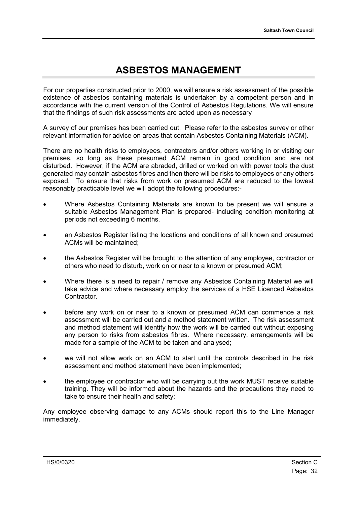### **ASBESTOS MANAGEMENT**

<span id="page-31-0"></span>For our properties constructed prior to 2000, we will ensure a risk assessment of the possible existence of asbestos containing materials is undertaken by a competent person and in accordance with the current version of the Control of Asbestos Regulations. We will ensure that the findings of such risk assessments are acted upon as necessary

A survey of our premises has been carried out. Please refer to the asbestos survey or other relevant information for advice on areas that contain Asbestos Containing Materials (ACM).

There are no health risks to employees, contractors and/or others working in or visiting our premises, so long as these presumed ACM remain in good condition and are not disturbed. However, if the ACM are abraded, drilled or worked on with power tools the dust generated may contain asbestos fibres and then there will be risks to employees or any others exposed. To ensure that risks from work on presumed ACM are reduced to the lowest reasonably practicable level we will adopt the following procedures:-

- Where Asbestos Containing Materials are known to be present we will ensure a suitable Asbestos Management Plan is prepared- including condition monitoring at periods not exceeding 6 months.
- an Asbestos Register listing the locations and conditions of all known and presumed ACMs will be maintained;
- the Asbestos Register will be brought to the attention of any employee, contractor or others who need to disturb, work on or near to a known or presumed ACM;
- Where there is a need to repair / remove any Asbestos Containing Material we will take advice and where necessary employ the services of a HSE Licenced Asbestos Contractor.
- before any work on or near to a known or presumed ACM can commence a risk assessment will be carried out and a method statement written. The risk assessment and method statement will identify how the work will be carried out without exposing any person to risks from asbestos fibres. Where necessary, arrangements will be made for a sample of the ACM to be taken and analysed;
- we will not allow work on an ACM to start until the controls described in the risk assessment and method statement have been implemented;
- the employee or contractor who will be carrying out the work MUST receive suitable training. They will be informed about the hazards and the precautions they need to take to ensure their health and safety;

Any employee observing damage to any ACMs should report this to the Line Manager immediately.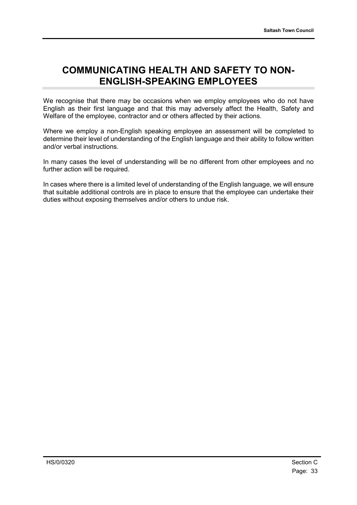### <span id="page-32-0"></span>**COMMUNICATING HEALTH AND SAFETY TO NON-ENGLISH-SPEAKING EMPLOYEES**

We recognise that there may be occasions when we employ employees who do not have English as their first language and that this may adversely affect the Health, Safety and Welfare of the employee, contractor and or others affected by their actions.

Where we employ a non-English speaking employee an assessment will be completed to determine their level of understanding of the English language and their ability to follow written and/or verbal instructions.

In many cases the level of understanding will be no different from other employees and no further action will be required.

In cases where there is a limited level of understanding of the English language, we will ensure that suitable additional controls are in place to ensure that the employee can undertake their duties without exposing themselves and/or others to undue risk.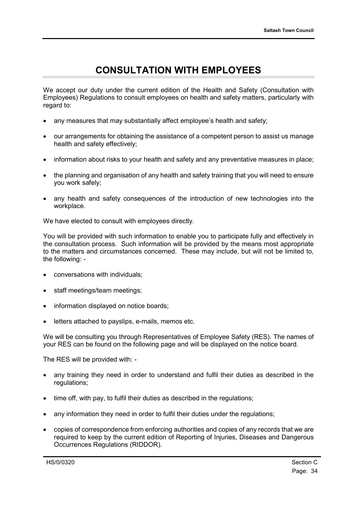### <span id="page-33-0"></span>**CONSULTATION WITH EMPLOYEES**

We accept our duty under the current edition of the Health and Safety (Consultation with Employees) Regulations to consult employees on health and safety matters, particularly with regard to:

- any measures that may substantially affect employee's health and safety;
- our arrangements for obtaining the assistance of a competent person to assist us manage health and safety effectively;
- information about risks to your health and safety and any preventative measures in place;
- the planning and organisation of any health and safety training that you will need to ensure you work safely;
- any health and safety consequences of the introduction of new technologies into the workplace.

We have elected to consult with employees directly.

You will be provided with such information to enable you to participate fully and effectively in the consultation process. Such information will be provided by the means most appropriate to the matters and circumstances concerned. These may include, but will not be limited to, the following: -

- conversations with individuals;
- staff meetings/team meetings;
- information displayed on notice boards:
- letters attached to payslips, e-mails, memos etc.

We will be consulting you through Representatives of Employee Safety (RES). The names of your RES can be found on the following page and will be displayed on the notice board.

The RES will be provided with: -

- any training they need in order to understand and fulfil their duties as described in the regulations;
- time off, with pay, to fulfil their duties as described in the regulations;
- any information they need in order to fulfil their duties under the regulations;
- copies of correspondence from enforcing authorities and copies of any records that we are required to keep by the current edition of Reporting of Injuries, Diseases and Dangerous Occurrences Regulations (RIDDOR).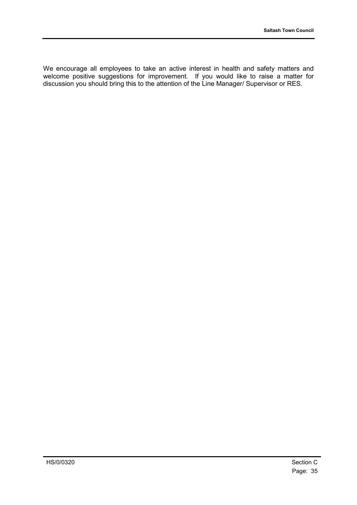We encourage all employees to take an active interest in health and safety matters and welcome positive suggestions for improvement. If you would like to raise a matter for discussion you should bring this to the attention of the Line Manager/ Supervisor or RES.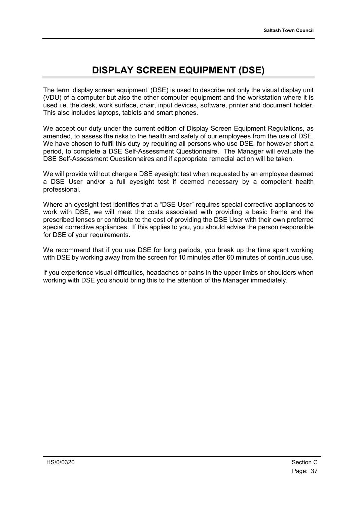### **DISPLAY SCREEN EQUIPMENT (DSE)**

The term 'display screen equipment' (DSE) is used to describe not only the visual display unit (VDU) of a computer but also the other computer equipment and the workstation where it is used i.e. the desk, work surface, chair, input devices, software, printer and document holder. This also includes laptops, tablets and smart phones.

We accept our duty under the current edition of Display Screen Equipment Regulations, as amended, to assess the risks to the health and safety of our employees from the use of DSE. We have chosen to fulfil this duty by requiring all persons who use DSE, for however short a period, to complete a DSE Self-Assessment Questionnaire. The Manager will evaluate the DSE Self-Assessment Questionnaires and if appropriate remedial action will be taken.

We will provide without charge a DSE evesight test when requested by an employee deemed a DSE User and/or a full eyesight test if deemed necessary by a competent health professional.

Where an eyesight test identifies that a "DSE User" requires special corrective appliances to work with DSE, we will meet the costs associated with providing a basic frame and the prescribed lenses or contribute to the cost of providing the DSE User with their own preferred special corrective appliances. If this applies to you, you should advise the person responsible for DSE of your requirements.

We recommend that if you use DSE for long periods, you break up the time spent working with DSE by working away from the screen for 10 minutes after 60 minutes of continuous use.

If you experience visual difficulties, headaches or pains in the upper limbs or shoulders when working with DSE you should bring this to the attention of the Manager immediately.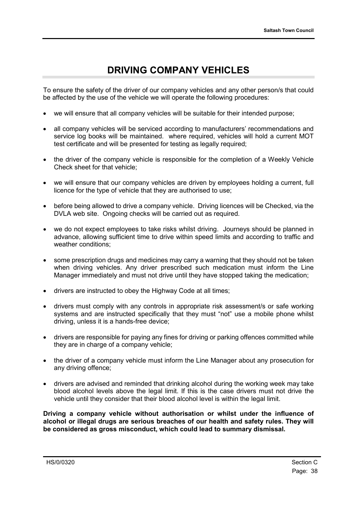### **DRIVING COMPANY VEHICLES**

To ensure the safety of the driver of our company vehicles and any other person/s that could be affected by the use of the vehicle we will operate the following procedures:

- we will ensure that all company vehicles will be suitable for their intended purpose;
- all company vehicles will be serviced according to manufacturers' recommendations and service log books will be maintained. where required, vehicles will hold a current MOT test certificate and will be presented for testing as legally required;
- the driver of the company vehicle is responsible for the completion of a Weekly Vehicle Check sheet for that vehicle;
- we will ensure that our company vehicles are driven by employees holding a current, full licence for the type of vehicle that they are authorised to use;
- before being allowed to drive a company vehicle. Driving licences will be Checked, via the DVLA web site. Ongoing checks will be carried out as required.
- we do not expect employees to take risks whilst driving. Journeys should be planned in advance, allowing sufficient time to drive within speed limits and according to traffic and weather conditions;
- some prescription drugs and medicines may carry a warning that they should not be taken when driving vehicles. Any driver prescribed such medication must inform the Line Manager immediately and must not drive until they have stopped taking the medication;
- drivers are instructed to obey the Highway Code at all times;
- drivers must comply with any controls in appropriate risk assessment/s or safe working systems and are instructed specifically that they must "not" use a mobile phone whilst driving, unless it is a hands-free device;
- drivers are responsible for paying any fines for driving or parking offences committed while they are in charge of a company vehicle;
- the driver of a company vehicle must inform the Line Manager about any prosecution for any driving offence;
- drivers are advised and reminded that drinking alcohol during the working week may take blood alcohol levels above the legal limit. If this is the case drivers must not drive the vehicle until they consider that their blood alcohol level is within the legal limit.

**Driving a company vehicle without authorisation or whilst under the influence of alcohol or illegal drugs are serious breaches of our health and safety rules. They will be considered as gross misconduct, which could lead to summary dismissal.**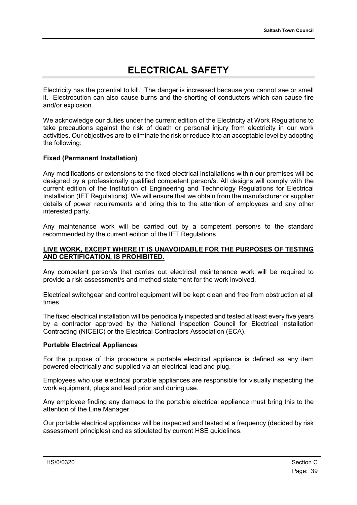# **ELECTRICAL SAFETY**

Electricity has the potential to kill. The danger is increased because you cannot see or smell it. Electrocution can also cause burns and the shorting of conductors which can cause fire and/or explosion.

We acknowledge our duties under the current edition of the Electricity at Work Regulations to take precautions against the risk of death or personal injury from electricity in our work activities. Our objectives are to eliminate the risk or reduce it to an acceptable level by adopting the following:

#### **Fixed (Permanent Installation)**

Any modifications or extensions to the fixed electrical installations within our premises will be designed by a professionally qualified competent person/s. All designs will comply with the current edition of the Institution of Engineering and Technology Regulations for Electrical Installation (IET Regulations). We will ensure that we obtain from the manufacturer or supplier details of power requirements and bring this to the attention of employees and any other interested party.

Any maintenance work will be carried out by a competent person/s to the standard recommended by the current edition of the IET Regulations.

#### **LIVE WORK, EXCEPT WHERE IT IS UNAVOIDABLE FOR THE PURPOSES OF TESTING AND CERTIFICATION, IS PROHIBITED.**

Any competent person/s that carries out electrical maintenance work will be required to provide a risk assessment/s and method statement for the work involved.

Electrical switchgear and control equipment will be kept clean and free from obstruction at all times.

The fixed electrical installation will be periodically inspected and tested at least every five years by a contractor approved by the National Inspection Council for Electrical Installation Contracting (NICEIC) or the Electrical Contractors Association (ECA).

#### **Portable Electrical Appliances**

For the purpose of this procedure a portable electrical appliance is defined as any item powered electrically and supplied via an electrical lead and plug.

Employees who use electrical portable appliances are responsible for visually inspecting the work equipment, plugs and lead prior and during use.

Any employee finding any damage to the portable electrical appliance must bring this to the attention of the Line Manager.

Our portable electrical appliances will be inspected and tested at a frequency (decided by risk assessment principles) and as stipulated by current HSE guidelines.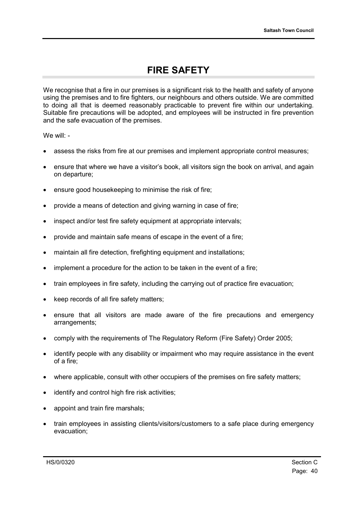### **FIRE SAFETY**

We recognise that a fire in our premises is a significant risk to the health and safety of anyone using the premises and to fire fighters, our neighbours and others outside. We are committed to doing all that is deemed reasonably practicable to prevent fire within our undertaking. Suitable fire precautions will be adopted, and employees will be instructed in fire prevention and the safe evacuation of the premises.

We will: -

- assess the risks from fire at our premises and implement appropriate control measures;
- ensure that where we have a visitor's book, all visitors sign the book on arrival, and again on departure;
- ensure good housekeeping to minimise the risk of fire;
- provide a means of detection and giving warning in case of fire;
- inspect and/or test fire safety equipment at appropriate intervals;
- provide and maintain safe means of escape in the event of a fire;
- maintain all fire detection, firefighting equipment and installations;
- implement a procedure for the action to be taken in the event of a fire;
- train employees in fire safety, including the carrying out of practice fire evacuation;
- keep records of all fire safety matters;
- ensure that all visitors are made aware of the fire precautions and emergency arrangements;
- comply with the requirements of The Regulatory Reform (Fire Safety) Order 2005;
- identify people with any disability or impairment who may require assistance in the event of a fire;
- where applicable, consult with other occupiers of the premises on fire safety matters;
- identify and control high fire risk activities;
- appoint and train fire marshals;
- train employees in assisting clients/visitors/customers to a safe place during emergency evacuation;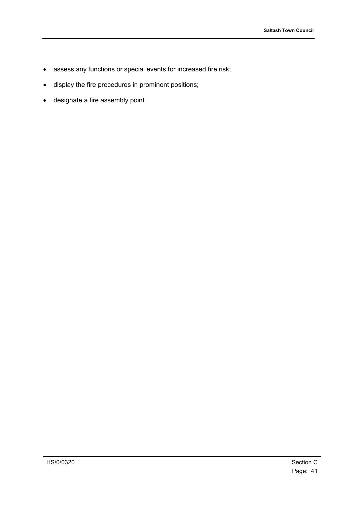- assess any functions or special events for increased fire risk;
- display the fire procedures in prominent positions;
- designate a fire assembly point.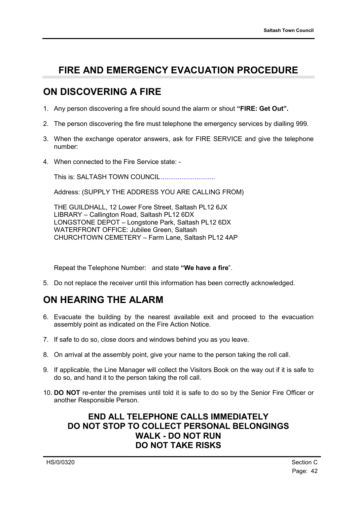### **FIRE AND EMERGENCY EVACUATION PROCEDURE**

#### **ON DISCOVERING A FIRE**

- 1. Any person discovering a fire should sound the alarm or shout **"FIRE: Get Out".**
- 2. The person discovering the fire must telephone the emergency services by dialling 999.
- 3. When the exchange operator answers, ask for FIRE SERVICE and give the telephone number:
- 4. When connected to the Fire Service state: -

This is: SALTASH TOWN COUNCIL.............................

Address: (SUPPLY THE ADDRESS YOU ARE CALLING FROM)

THE GUILDHALL, 12 Lower Fore Street, Saltash PL12 6JX LIBRARY – Callington Road, Saltash PL12 6DX LONGSTONE DEPOT – Longstone Park, Saltash PL12 6DX WATERFRONT OFFICE: Jubilee Green, Saltash CHURCHTOWN CEMETERY – Farm Lane, Saltash PL12 4AP

Repeat the Telephone Number: and state **"We have a fire**".

5. Do not replace the receiver until this information has been correctly acknowledged.

### **ON HEARING THE ALARM**

- 6. Evacuate the building by the nearest available exit and proceed to the evacuation assembly point as indicated on the Fire Action Notice.
- 7. If safe to do so, close doors and windows behind you as you leave.
- 8. On arrival at the assembly point, give your name to the person taking the roll call.
- 9. If applicable, the Line Manager will collect the Visitors Book on the way out if it is safe to do so, and hand it to the person taking the roll call.
- 10. **DO NOT** re-enter the premises until told it is safe to do so by the Senior Fire Officer or another Responsible Person.

#### **END ALL TELEPHONE CALLS IMMEDIATELY DO NOT STOP TO COLLECT PERSONAL BELONGINGS WALK - DO NOT RUN DO NOT TAKE RISKS**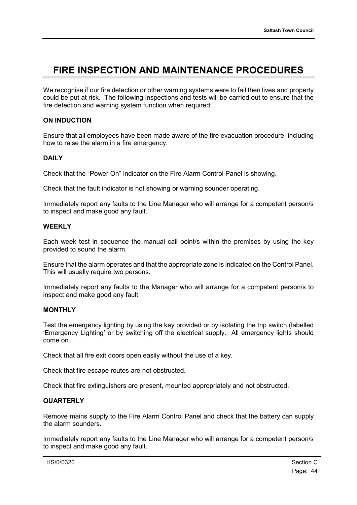### **FIRE INSPECTION AND MAINTENANCE PROCEDURES**

We recognise if our fire detection or other warning systems were to fail then lives and property could be put at risk. The following inspections and tests will be carried out to ensure that the fire detection and warning system function when required:

#### **ON INDUCTION**

Ensure that all employees have been made aware of the fire evacuation procedure, including how to raise the alarm in a fire emergency.

#### **DAILY**

Check that the "Power On" indicator on the Fire Alarm Control Panel is showing.

Check that the fault indicator is not showing or warning sounder operating.

Immediately report any faults to the Line Manager who will arrange for a competent person/s to inspect and make good any fault.

#### **WEEKLY**

Each week test in sequence the manual call point/s within the premises by using the key provided to sound the alarm.

Ensure that the alarm operates and that the appropriate zone is indicated on the Control Panel. This will usually require two persons.

Immediately report any faults to the Manager who will arrange for a competent person/s to inspect and make good any fault.

#### **MONTHLY**

Test the emergency lighting by using the key provided or by isolating the trip switch (labelled 'Emergency Lighting' or by switching off the electrical supply. All emergency lights should come on.

Check that all fire exit doors open easily without the use of a key.

Check that fire escape routes are not obstructed.

Check that fire extinguishers are present, mounted appropriately and not obstructed.

#### **QUARTERLY**

Remove mains supply to the Fire Alarm Control Panel and check that the battery can supply the alarm sounders.

Immediately report any faults to the Line Manager who will arrange for a competent person/s to inspect and make good any fault.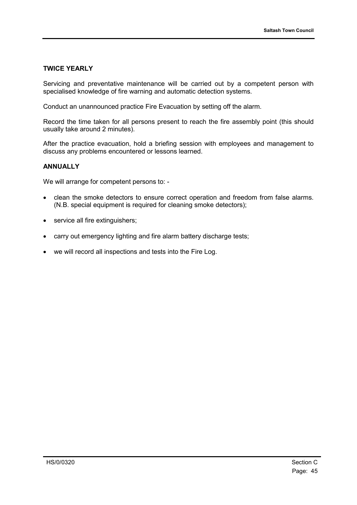#### **TWICE YEARLY**

Servicing and preventative maintenance will be carried out by a competent person with specialised knowledge of fire warning and automatic detection systems.

Conduct an unannounced practice Fire Evacuation by setting off the alarm.

Record the time taken for all persons present to reach the fire assembly point (this should usually take around 2 minutes).

After the practice evacuation, hold a briefing session with employees and management to discuss any problems encountered or lessons learned.

#### **ANNUALLY**

We will arrange for competent persons to: -

- clean the smoke detectors to ensure correct operation and freedom from false alarms. (N.B. special equipment is required for cleaning smoke detectors);
- service all fire extinguishers;
- carry out emergency lighting and fire alarm battery discharge tests;
- we will record all inspections and tests into the Fire Log.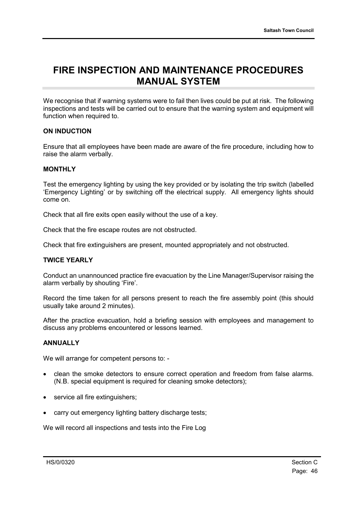#### **FIRE INSPECTION AND MAINTENANCE PROCEDURES MANUAL SYSTEM**

We recognise that if warning systems were to fail then lives could be put at risk. The following inspections and tests will be carried out to ensure that the warning system and equipment will function when required to.

#### **ON INDUCTION**

Ensure that all employees have been made are aware of the fire procedure, including how to raise the alarm verbally.

#### **MONTHLY**

Test the emergency lighting by using the key provided or by isolating the trip switch (labelled 'Emergency Lighting' or by switching off the electrical supply. All emergency lights should come on.

Check that all fire exits open easily without the use of a key.

Check that the fire escape routes are not obstructed.

Check that fire extinguishers are present, mounted appropriately and not obstructed.

#### **TWICE YEARLY**

Conduct an unannounced practice fire evacuation by the Line Manager/Supervisor raising the alarm verbally by shouting 'Fire'.

Record the time taken for all persons present to reach the fire assembly point (this should usually take around 2 minutes).

After the practice evacuation, hold a briefing session with employees and management to discuss any problems encountered or lessons learned.

#### **ANNUALLY**

We will arrange for competent persons to: -

- clean the smoke detectors to ensure correct operation and freedom from false alarms. (N.B. special equipment is required for cleaning smoke detectors);
- service all fire extinguishers;
- carry out emergency lighting battery discharge tests;

We will record all inspections and tests into the Fire Log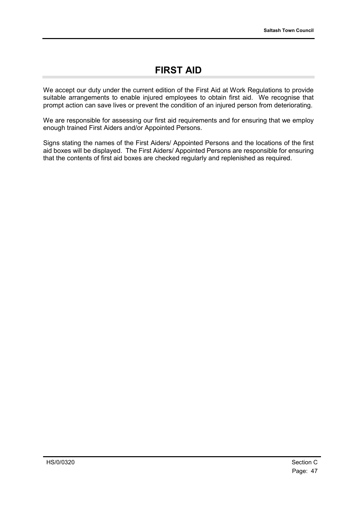### **FIRST AID**

We accept our duty under the current edition of the First Aid at Work Regulations to provide suitable arrangements to enable injured employees to obtain first aid. We recognise that prompt action can save lives or prevent the condition of an injured person from deteriorating.

We are responsible for assessing our first aid requirements and for ensuring that we employ enough trained First Aiders and/or Appointed Persons.

Signs stating the names of the First Aiders/ Appointed Persons and the locations of the first aid boxes will be displayed. The First Aiders/ Appointed Persons are responsible for ensuring that the contents of first aid boxes are checked regularly and replenished as required.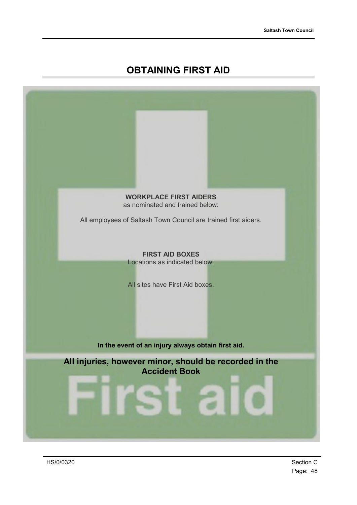### **OBTAINING FIRST AID**



Page: 48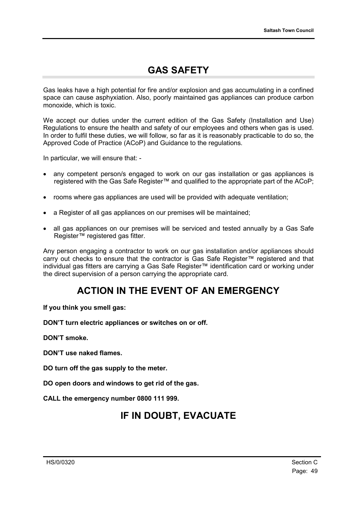### **GAS SAFETY**

Gas leaks have a high potential for fire and/or explosion and gas accumulating in a confined space can cause asphyxiation. Also, poorly maintained gas appliances can produce carbon monoxide, which is toxic.

We accept our duties under the current edition of the Gas Safety (Installation and Use) Regulations to ensure the health and safety of our employees and others when gas is used. In order to fulfil these duties, we will follow, so far as it is reasonably practicable to do so, the Approved Code of Practice (ACoP) and Guidance to the regulations.

In particular, we will ensure that: -

- any competent person/s engaged to work on our gas installation or gas appliances is registered with the Gas Safe Register™ and qualified to the appropriate part of the ACoP;
- rooms where gas appliances are used will be provided with adequate ventilation;
- a Register of all gas appliances on our premises will be maintained;
- all gas appliances on our premises will be serviced and tested annually by a Gas Safe Register™ registered gas fitter.

Any person engaging a contractor to work on our gas installation and/or appliances should carry out checks to ensure that the contractor is Gas Safe Register™ registered and that individual gas fitters are carrying a Gas Safe Register™ identification card or working under the direct supervision of a person carrying the appropriate card.

#### **ACTION IN THE EVENT OF AN EMERGENCY**

**If you think you smell gas:**

**DON'T turn electric appliances or switches on or off.**

**DON'T smoke.**

**DON'T use naked flames.**

**DO turn off the gas supply to the meter.**

**DO open doors and windows to get rid of the gas.**

**CALL the emergency number 0800 111 999.**

#### **IF IN DOUBT, EVACUATE**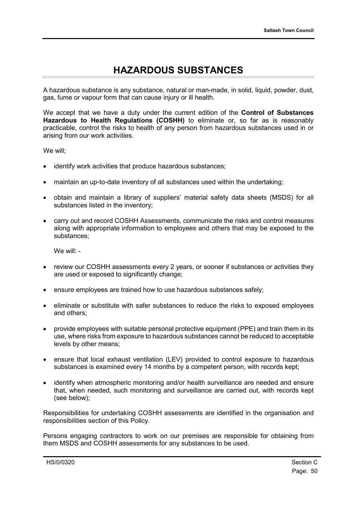### **HAZARDOUS SUBSTANCES**

A hazardous substance is any substance, natural or man-made, in solid, liquid, powder, dust, gas, fume or vapour form that can cause injury or ill health.

We accept that we have a duty under the current edition of the **Control of Substances Hazardous to Health Regulations (COSHH)** to eliminate or, so far as is reasonably practicable, control the risks to health of any person from hazardous substances used in or arising from our work activities.

We will;

- identify work activities that produce hazardous substances;
- maintain an up-to-date inventory of all substances used within the undertaking;
- obtain and maintain a library of suppliers' material safety data sheets (MSDS) for all substances listed in the inventory;
- carry out and record COSHH Assessments, communicate the risks and control measures along with appropriate information to employees and others that may be exposed to the substances;

We will: -

- review our COSHH assessments every 2 years, or sooner if substances or activities they are used or exposed to significantly change;
- ensure employees are trained how to use hazardous substances safely;
- eliminate or substitute with safer substances to reduce the risks to exposed employees and others;
- provide employees with suitable personal protective equipment (PPE) and train them in its use, where risks from exposure to hazardous substances cannot be reduced to acceptable levels by other means;
- ensure that local exhaust ventilation (LEV) provided to control exposure to hazardous substances is examined every 14 months by a competent person, with records kept;
- identify when atmospheric monitoring and/or health surveillance are needed and ensure that, when needed, such monitoring and surveillance are carried out, with records kept (see below);

Responsibilities for undertaking COSHH assessments are identified in the organisation and responsibilities section of this Policy.

Persons engaging contractors to work on our premises are responsible for obtaining from them MSDS and COSHH assessments for any substances to be used.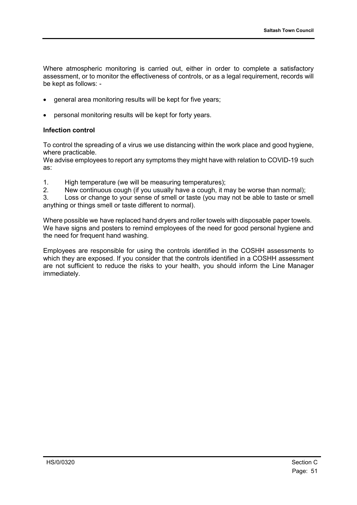Where atmospheric monitoring is carried out, either in order to complete a satisfactory assessment, or to monitor the effectiveness of controls, or as a legal requirement, records will be kept as follows: -

- general area monitoring results will be kept for five years;
- personal monitoring results will be kept for forty years.

#### **Infection control**

To control the spreading of a virus we use distancing within the work place and good hygiene, where practicable.

We advise employees to report any symptoms they might have with relation to COVID-19 such as:

- 1. High temperature (we will be measuring temperatures);
- 2. New continuous cough (if you usually have a cough, it may be worse than normal);

3. Loss or change to your sense of smell or taste (you may not be able to taste or smell anything or things smell or taste different to normal).

Where possible we have replaced hand dryers and roller towels with disposable paper towels. We have signs and posters to remind employees of the need for good personal hygiene and the need for frequent hand washing.

Employees are responsible for using the controls identified in the COSHH assessments to which they are exposed. If you consider that the controls identified in a COSHH assessment are not sufficient to reduce the risks to your health, you should inform the Line Manager immediately.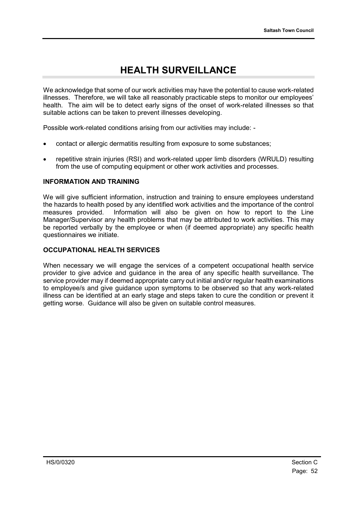### **HEALTH SURVEILLANCE**

We acknowledge that some of our work activities may have the potential to cause work-related illnesses. Therefore, we will take all reasonably practicable steps to monitor our employees' health. The aim will be to detect early signs of the onset of work-related illnesses so that suitable actions can be taken to prevent illnesses developing.

Possible work-related conditions arising from our activities may include: -

- contact or allergic dermatitis resulting from exposure to some substances;
- repetitive strain injuries (RSI) and work-related upper limb disorders (WRULD) resulting from the use of computing equipment or other work activities and processes.

#### **INFORMATION AND TRAINING**

We will give sufficient information, instruction and training to ensure employees understand the hazards to health posed by any identified work activities and the importance of the control measures provided. Information will also be given on how to report to the Line Manager/Supervisor any health problems that may be attributed to work activities. This may be reported verbally by the employee or when (if deemed appropriate) any specific health questionnaires we initiate.

#### **OCCUPATIONAL HEALTH SERVICES**

When necessary we will engage the services of a competent occupational health service provider to give advice and guidance in the area of any specific health surveillance. The service provider may if deemed appropriate carry out initial and/or regular health examinations to employee/s and give guidance upon symptoms to be observed so that any work-related illness can be identified at an early stage and steps taken to cure the condition or prevent it getting worse. Guidance will also be given on suitable control measures.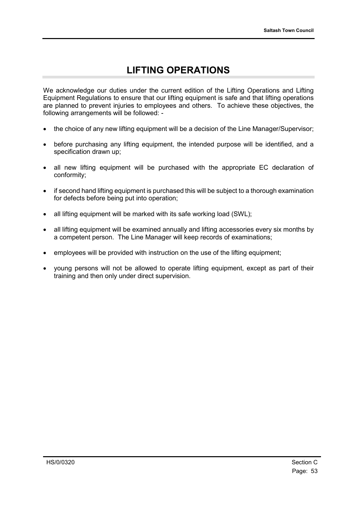# **LIFTING OPERATIONS**

We acknowledge our duties under the current edition of the Lifting Operations and Lifting Equipment Regulations to ensure that our lifting equipment is safe and that lifting operations are planned to prevent injuries to employees and others. To achieve these objectives, the following arrangements will be followed: -

- the choice of any new lifting equipment will be a decision of the Line Manager/Supervisor;
- before purchasing any lifting equipment, the intended purpose will be identified, and a specification drawn up;
- all new lifting equipment will be purchased with the appropriate EC declaration of conformity;
- if second hand lifting equipment is purchased this will be subject to a thorough examination for defects before being put into operation;
- all lifting equipment will be marked with its safe working load (SWL);
- all lifting equipment will be examined annually and lifting accessories every six months by a competent person. The Line Manager will keep records of examinations;
- employees will be provided with instruction on the use of the lifting equipment;
- young persons will not be allowed to operate lifting equipment, except as part of their training and then only under direct supervision.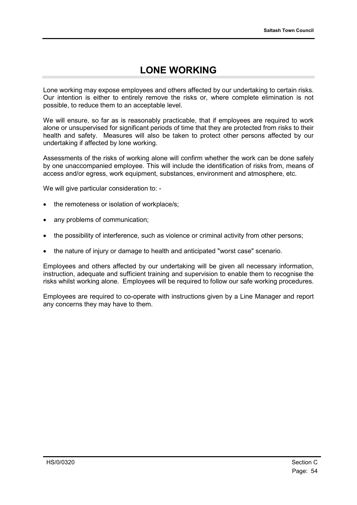### **LONE WORKING**

Lone working may expose employees and others affected by our undertaking to certain risks. Our intention is either to entirely remove the risks or, where complete elimination is not possible, to reduce them to an acceptable level.

We will ensure, so far as is reasonably practicable, that if employees are required to work alone or unsupervised for significant periods of time that they are protected from risks to their health and safety. Measures will also be taken to protect other persons affected by our undertaking if affected by lone working.

Assessments of the risks of working alone will confirm whether the work can be done safely by one unaccompanied employee. This will include the identification of risks from, means of access and/or egress, work equipment, substances, environment and atmosphere, etc.

We will give particular consideration to: -

- the remoteness or isolation of workplace/s:
- any problems of communication;
- the possibility of interference, such as violence or criminal activity from other persons;
- the nature of injury or damage to health and anticipated "worst case" scenario.

Employees and others affected by our undertaking will be given all necessary information, instruction, adequate and sufficient training and supervision to enable them to recognise the risks whilst working alone. Employees will be required to follow our safe working procedures.

Employees are required to co-operate with instructions given by a Line Manager and report any concerns they may have to them.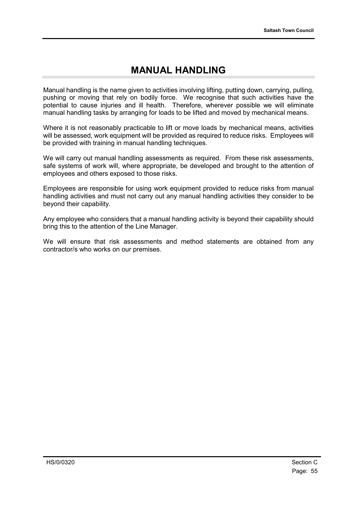### **MANUAL HANDLING**

Manual handling is the name given to activities involving lifting, putting down, carrying, pulling, pushing or moving that rely on bodily force. We recognise that such activities have the potential to cause injuries and ill health. Therefore, wherever possible we will eliminate manual handling tasks by arranging for loads to be lifted and moved by mechanical means.

Where it is not reasonably practicable to lift or move loads by mechanical means, activities will be assessed, work equipment will be provided as required to reduce risks. Employees will be provided with training in manual handling techniques.

We will carry out manual handling assessments as required. From these risk assessments, safe systems of work will, where appropriate, be developed and brought to the attention of employees and others exposed to those risks.

Employees are responsible for using work equipment provided to reduce risks from manual handling activities and must not carry out any manual handling activities they consider to be beyond their capability.

Any employee who considers that a manual handling activity is beyond their capability should bring this to the attention of the Line Manager.

We will ensure that risk assessments and method statements are obtained from any contractor/s who works on our premises.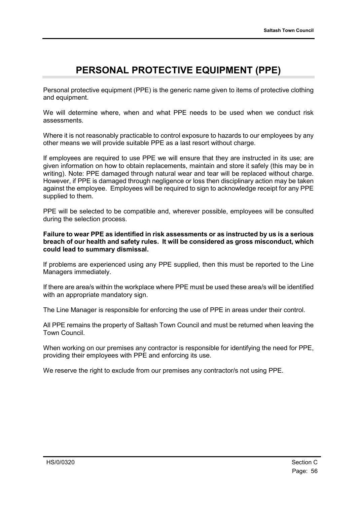### **PERSONAL PROTECTIVE EQUIPMENT (PPE)**

Personal protective equipment (PPE) is the generic name given to items of protective clothing and equipment.

We will determine where, when and what PPE needs to be used when we conduct risk assessments.

Where it is not reasonably practicable to control exposure to hazards to our employees by any other means we will provide suitable PPE as a last resort without charge.

If employees are required to use PPE we will ensure that they are instructed in its use; are given information on how to obtain replacements, maintain and store it safely (this may be in writing). Note: PPE damaged through natural wear and tear will be replaced without charge. However, if PPE is damaged through negligence or loss then disciplinary action may be taken against the employee. Employees will be required to sign to acknowledge receipt for any PPE supplied to them.

PPE will be selected to be compatible and, wherever possible, employees will be consulted during the selection process.

**Failure to wear PPE as identified in risk assessments or as instructed by us is a serious breach of our health and safety rules. It will be considered as gross misconduct, which could lead to summary dismissal.**

If problems are experienced using any PPE supplied, then this must be reported to the Line Managers immediately.

If there are area/s within the workplace where PPE must be used these area/s will be identified with an appropriate mandatory sign.

The Line Manager is responsible for enforcing the use of PPE in areas under their control.

All PPE remains the property of Saltash Town Council and must be returned when leaving the Town Council.

When working on our premises any contractor is responsible for identifying the need for PPE, providing their employees with PPE and enforcing its use.

We reserve the right to exclude from our premises any contractor/s not using PPE.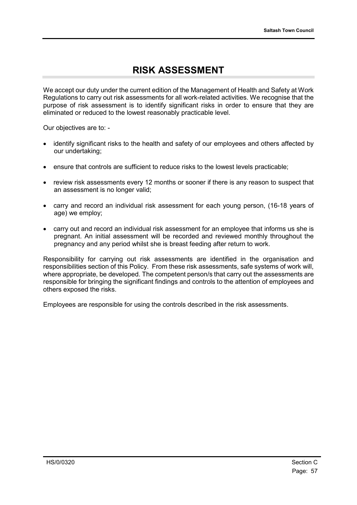### **RISK ASSESSMENT**

We accept our duty under the current edition of the Management of Health and Safety at Work Regulations to carry out risk assessments for all work-related activities. We recognise that the purpose of risk assessment is to identify significant risks in order to ensure that they are eliminated or reduced to the lowest reasonably practicable level.

Our objectives are to: -

- identify significant risks to the health and safety of our employees and others affected by our undertaking;
- ensure that controls are sufficient to reduce risks to the lowest levels practicable;
- review risk assessments every 12 months or sooner if there is any reason to suspect that an assessment is no longer valid;
- carry and record an individual risk assessment for each young person, (16-18 years of age) we employ;
- carry out and record an individual risk assessment for an employee that informs us she is pregnant. An initial assessment will be recorded and reviewed monthly throughout the pregnancy and any period whilst she is breast feeding after return to work.

Responsibility for carrying out risk assessments are identified in the organisation and responsibilities section of this Policy. From these risk assessments, safe systems of work will, where appropriate, be developed. The competent person/s that carry out the assessments are responsible for bringing the significant findings and controls to the attention of employees and others exposed the risks.

Employees are responsible for using the controls described in the risk assessments.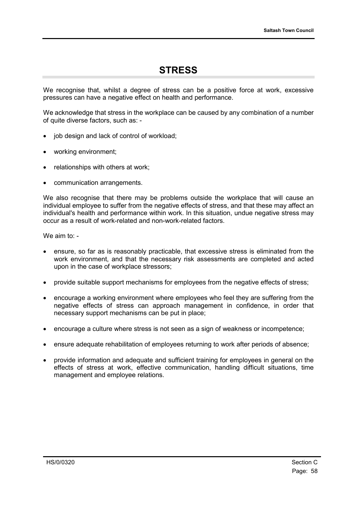### **STRESS**

We recognise that, whilst a degree of stress can be a positive force at work, excessive pressures can have a negative effect on health and performance.

We acknowledge that stress in the workplace can be caused by any combination of a number of quite diverse factors, such as: -

- iob design and lack of control of workload:
- working environment;
- relationships with others at work;
- communication arrangements.

We also recognise that there may be problems outside the workplace that will cause an individual employee to suffer from the negative effects of stress, and that these may affect an individual's health and performance within work. In this situation, undue negative stress may occur as a result of work-related and non-work-related factors.

We aim to: -

- ensure, so far as is reasonably practicable, that excessive stress is eliminated from the work environment, and that the necessary risk assessments are completed and acted upon in the case of workplace stressors;
- provide suitable support mechanisms for employees from the negative effects of stress;
- encourage a working environment where employees who feel they are suffering from the negative effects of stress can approach management in confidence, in order that necessary support mechanisms can be put in place;
- encourage a culture where stress is not seen as a sign of weakness or incompetence;
- ensure adequate rehabilitation of employees returning to work after periods of absence;
- provide information and adequate and sufficient training for employees in general on the effects of stress at work, effective communication, handling difficult situations, time management and employee relations.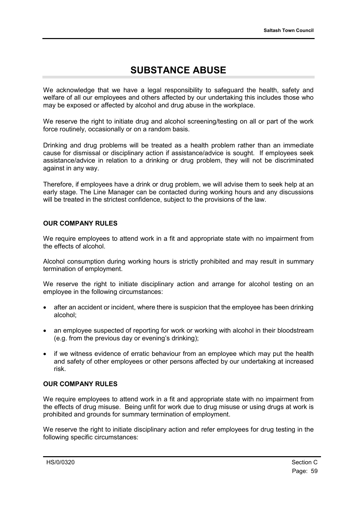### **SUBSTANCE ABUSE**

We acknowledge that we have a legal responsibility to safeguard the health, safety and welfare of all our employees and others affected by our undertaking this includes those who may be exposed or affected by alcohol and drug abuse in the workplace.

We reserve the right to initiate drug and alcohol screening/testing on all or part of the work force routinely, occasionally or on a random basis.

Drinking and drug problems will be treated as a health problem rather than an immediate cause for dismissal or disciplinary action if assistance/advice is sought. If employees seek assistance/advice in relation to a drinking or drug problem, they will not be discriminated against in any way.

Therefore, if employees have a drink or drug problem, we will advise them to seek help at an early stage. The Line Manager can be contacted during working hours and any discussions will be treated in the strictest confidence, subject to the provisions of the law.

#### **OUR COMPANY RULES**

We require employees to attend work in a fit and appropriate state with no impairment from the effects of alcohol.

Alcohol consumption during working hours is strictly prohibited and may result in summary termination of employment.

We reserve the right to initiate disciplinary action and arrange for alcohol testing on an employee in the following circumstances:

- after an accident or incident, where there is suspicion that the employee has been drinking alcohol;
- an employee suspected of reporting for work or working with alcohol in their bloodstream (e.g. from the previous day or evening's drinking);
- if we witness evidence of erratic behaviour from an employee which may put the health and safety of other employees or other persons affected by our undertaking at increased risk.

#### **OUR COMPANY RULES**

We require employees to attend work in a fit and appropriate state with no impairment from the effects of drug misuse. Being unfit for work due to drug misuse or using drugs at work is prohibited and grounds for summary termination of employment.

We reserve the right to initiate disciplinary action and refer employees for drug testing in the following specific circumstances: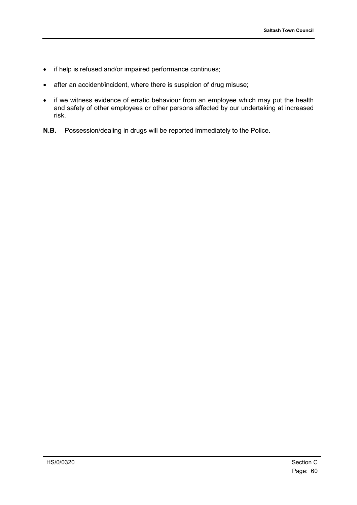- if help is refused and/or impaired performance continues;
- after an accident/incident, where there is suspicion of drug misuse;
- if we witness evidence of erratic behaviour from an employee which may put the health and safety of other employees or other persons affected by our undertaking at increased risk.
- **N.B.** Possession/dealing in drugs will be reported immediately to the Police.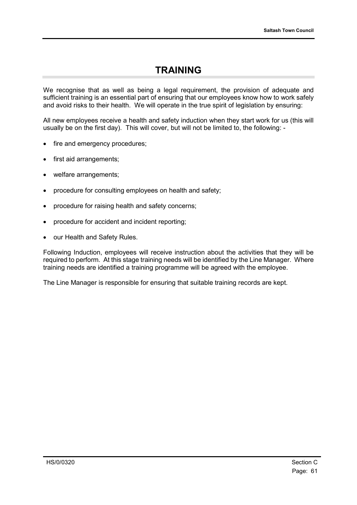#### **TRAINING**

We recognise that as well as being a legal requirement, the provision of adequate and sufficient training is an essential part of ensuring that our employees know how to work safely and avoid risks to their health. We will operate in the true spirit of legislation by ensuring:

All new employees receive a health and safety induction when they start work for us (this will usually be on the first day). This will cover, but will not be limited to, the following: -

- fire and emergency procedures;
- first aid arrangements;
- welfare arrangements;
- procedure for consulting employees on health and safety;
- procedure for raising health and safety concerns;
- procedure for accident and incident reporting;
- our Health and Safety Rules.

Following Induction, employees will receive instruction about the activities that they will be required to perform. At this stage training needs will be identified by the Line Manager. Where training needs are identified a training programme will be agreed with the employee.

The Line Manager is responsible for ensuring that suitable training records are kept.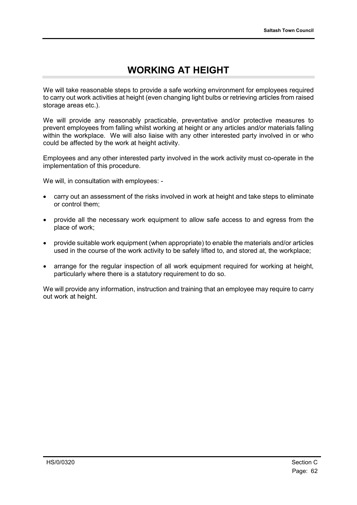### **WORKING AT HEIGHT**

We will take reasonable steps to provide a safe working environment for employees required to carry out work activities at height (even changing light bulbs or retrieving articles from raised storage areas etc.).

We will provide any reasonably practicable, preventative and/or protective measures to prevent employees from falling whilst working at height or any articles and/or materials falling within the workplace. We will also liaise with any other interested party involved in or who could be affected by the work at height activity.

Employees and any other interested party involved in the work activity must co-operate in the implementation of this procedure.

We will, in consultation with employees: -

- carry out an assessment of the risks involved in work at height and take steps to eliminate or control them;
- provide all the necessary work equipment to allow safe access to and egress from the place of work;
- provide suitable work equipment (when appropriate) to enable the materials and/or articles used in the course of the work activity to be safely lifted to, and stored at, the workplace;
- arrange for the regular inspection of all work equipment required for working at height, particularly where there is a statutory requirement to do so.

We will provide any information, instruction and training that an employee may require to carry out work at height.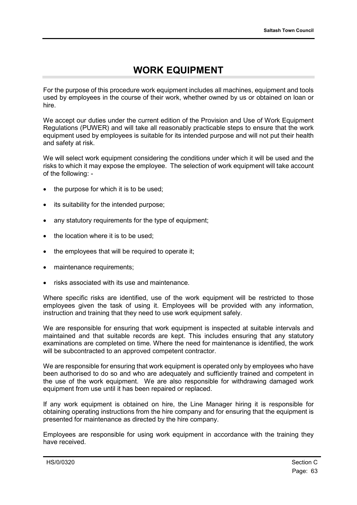### **WORK EQUIPMENT**

For the purpose of this procedure work equipment includes all machines, equipment and tools used by employees in the course of their work, whether owned by us or obtained on loan or hire.

We accept our duties under the current edition of the Provision and Use of Work Equipment Regulations (PUWER) and will take all reasonably practicable steps to ensure that the work equipment used by employees is suitable for its intended purpose and will not put their health and safety at risk.

We will select work equipment considering the conditions under which it will be used and the risks to which it may expose the employee. The selection of work equipment will take account of the following: -

- the purpose for which it is to be used;
- its suitability for the intended purpose;
- any statutory requirements for the type of equipment;
- the location where it is to be used;
- the employees that will be required to operate it;
- maintenance requirements;
- risks associated with its use and maintenance.

Where specific risks are identified, use of the work equipment will be restricted to those employees given the task of using it. Employees will be provided with any information, instruction and training that they need to use work equipment safely.

We are responsible for ensuring that work equipment is inspected at suitable intervals and maintained and that suitable records are kept. This includes ensuring that any statutory examinations are completed on time. Where the need for maintenance is identified, the work will be subcontracted to an approved competent contractor.

We are responsible for ensuring that work equipment is operated only by employees who have been authorised to do so and who are adequately and sufficiently trained and competent in the use of the work equipment. We are also responsible for withdrawing damaged work equipment from use until it has been repaired or replaced.

If any work equipment is obtained on hire, the Line Manager hiring it is responsible for obtaining operating instructions from the hire company and for ensuring that the equipment is presented for maintenance as directed by the hire company.

Employees are responsible for using work equipment in accordance with the training they have received.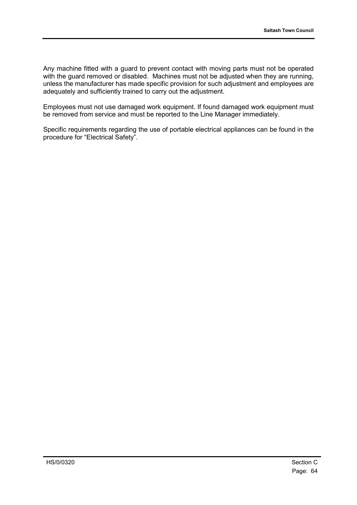Any machine fitted with a guard to prevent contact with moving parts must not be operated with the guard removed or disabled. Machines must not be adjusted when they are running, unless the manufacturer has made specific provision for such adjustment and employees are adequately and sufficiently trained to carry out the adjustment.

Employees must not use damaged work equipment. If found damaged work equipment must be removed from service and must be reported to the Line Manager immediately.

Specific requirements regarding the use of portable electrical appliances can be found in the procedure for "Electrical Safety".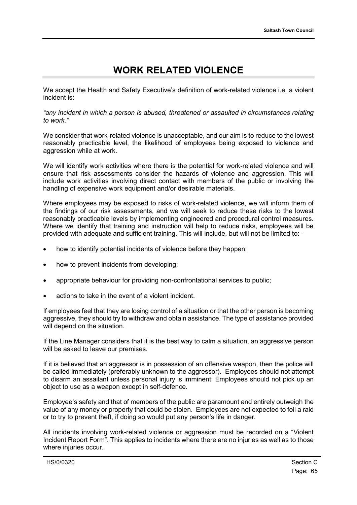### **WORK RELATED VIOLENCE**

We accept the Health and Safety Executive's definition of work-related violence i.e. a violent incident is:

*"any incident in which a person is abused, threatened or assaulted in circumstances relating to work."*

We consider that work-related violence is unacceptable, and our aim is to reduce to the lowest reasonably practicable level, the likelihood of employees being exposed to violence and aggression while at work.

We will identify work activities where there is the potential for work-related violence and will ensure that risk assessments consider the hazards of violence and aggression. This will include work activities involving direct contact with members of the public or involving the handling of expensive work equipment and/or desirable materials.

Where employees may be exposed to risks of work-related violence, we will inform them of the findings of our risk assessments, and we will seek to reduce these risks to the lowest reasonably practicable levels by implementing engineered and procedural control measures. Where we identify that training and instruction will help to reduce risks, employees will be provided with adequate and sufficient training. This will include, but will not be limited to: -

- how to identify potential incidents of violence before they happen;
- how to prevent incidents from developing;
- appropriate behaviour for providing non-confrontational services to public;
- actions to take in the event of a violent incident.

If employees feel that they are losing control of a situation or that the other person is becoming aggressive, they should try to withdraw and obtain assistance. The type of assistance provided will depend on the situation.

If the Line Manager considers that it is the best way to calm a situation, an aggressive person will be asked to leave our premises.

If it is believed that an aggressor is in possession of an offensive weapon, then the police will be called immediately (preferably unknown to the aggressor). Employees should not attempt to disarm an assailant unless personal injury is imminent. Employees should not pick up an object to use as a weapon except in self-defence.

Employee's safety and that of members of the public are paramount and entirely outweigh the value of any money or property that could be stolen. Employees are not expected to foil a raid or to try to prevent theft, if doing so would put any person's life in danger.

All incidents involving work-related violence or aggression must be recorded on a "Violent Incident Report Form". This applies to incidents where there are no injuries as well as to those where injuries occur.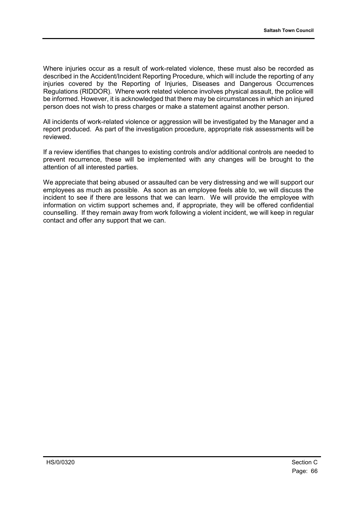Where injuries occur as a result of work-related violence, these must also be recorded as described in the Accident/Incident Reporting Procedure, which will include the reporting of any injuries covered by the Reporting of Injuries, Diseases and Dangerous Occurrences Regulations (RIDDOR). Where work related violence involves physical assault, the police will be informed. However, it is acknowledged that there may be circumstances in which an injured person does not wish to press charges or make a statement against another person.

All incidents of work-related violence or aggression will be investigated by the Manager and a report produced. As part of the investigation procedure, appropriate risk assessments will be reviewed.

If a review identifies that changes to existing controls and/or additional controls are needed to prevent recurrence, these will be implemented with any changes will be brought to the attention of all interested parties.

We appreciate that being abused or assaulted can be very distressing and we will support our employees as much as possible. As soon as an employee feels able to, we will discuss the incident to see if there are lessons that we can learn. We will provide the employee with information on victim support schemes and, if appropriate, they will be offered confidential counselling. If they remain away from work following a violent incident, we will keep in regular contact and offer any support that we can.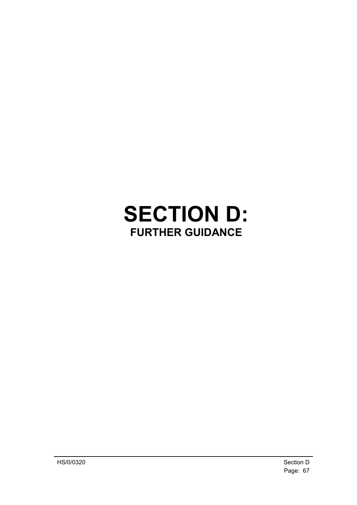# **SECTION D: FURTHER GUIDANCE**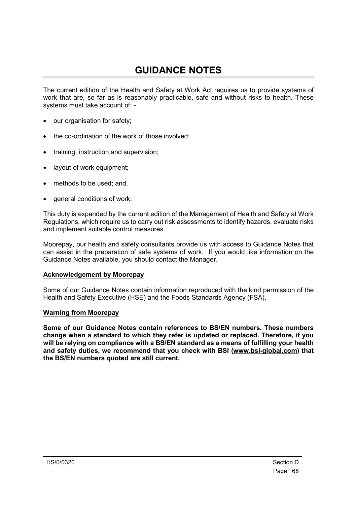### **GUIDANCE NOTES**

The current edition of the Health and Safety at Work Act requires us to provide systems of work that are, so far as is reasonably practicable, safe and without risks to health. These systems must take account of: -

- our organisation for safety;
- the co-ordination of the work of those involved:
- training, instruction and supervision;
- layout of work equipment;
- methods to be used; and,
- general conditions of work.

This duty is expanded by the current edition of the Management of Health and Safety at Work Regulations, which require us to carry out risk assessments to identify hazards, evaluate risks and implement suitable control measures.

Moorepay, our health and safety consultants provide us with access to Guidance Notes that can assist in the preparation of safe systems of work. If you would like information on the Guidance Notes available, you should contact the Manager.

#### **Acknowledgement by Moorepay**

Some of our Guidance Notes contain information reproduced with the kind permission of the Health and Safety Executive (HSE) and the Foods Standards Agency (FSA).

#### **Warning from Moorepay**

**Some of our Guidance Notes contain references to BS/EN numbers. These numbers change when a standard to which they refer is updated or replaced. Therefore, if you will be relying on compliance with a BS/EN standard as a means of fulfilling your health and safety duties, we recommend that you check with BSI [\(www.bsi-global.com\)](http://www.bsi-global.com/) that the BS/EN numbers quoted are still current.**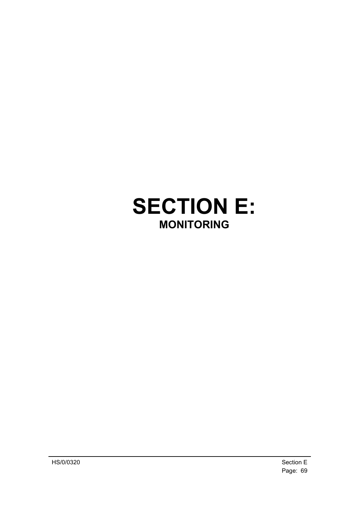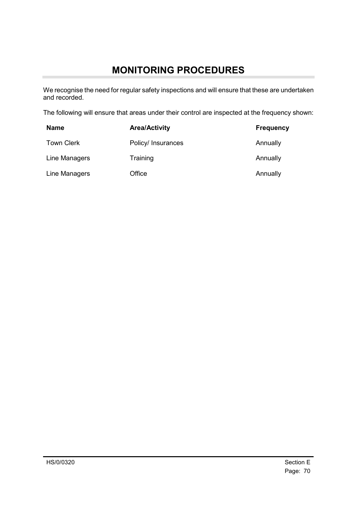# **MONITORING PROCEDURES**

We recognise the need for regular safety inspections and will ensure that these are undertaken and recorded.

The following will ensure that areas under their control are inspected at the frequency shown:

| <b>Name</b>       | <b>Area/Activity</b> | <b>Frequency</b> |
|-------------------|----------------------|------------------|
| <b>Town Clerk</b> | Policy/ Insurances   | Annually         |
| Line Managers     | Training             | Annually         |
| Line Managers     | Office               | Annually         |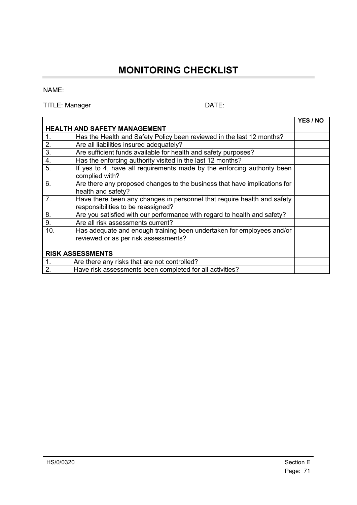### **MONITORING CHECKLIST**

#### NAME:

÷

TITLE: Manager DATE:

|                                                                                                                     | <b>YES / NO</b> |  |
|---------------------------------------------------------------------------------------------------------------------|-----------------|--|
| <b>HEALTH AND SAFETY MANAGEMENT</b>                                                                                 |                 |  |
| Has the Health and Safety Policy been reviewed in the last 12 months?<br>$\mathbf{1}$ .                             |                 |  |
| 2.<br>Are all liabilities insured adequately?                                                                       |                 |  |
| 3.<br>Are sufficient funds available for health and safety purposes?                                                |                 |  |
| 4.<br>Has the enforcing authority visited in the last 12 months?                                                    |                 |  |
| 5.<br>If yes to 4, have all requirements made by the enforcing authority been<br>complied with?                     |                 |  |
| 6.<br>Are there any proposed changes to the business that have implications for<br>health and safety?               |                 |  |
| 7.<br>Have there been any changes in personnel that require health and safety<br>responsibilities to be reassigned? |                 |  |
| 8.<br>Are you satisfied with our performance with regard to health and safety?                                      |                 |  |
| 9.<br>Are all risk assessments current?                                                                             |                 |  |
| 10.<br>Has adequate and enough training been undertaken for employees and/or                                        |                 |  |
| reviewed or as per risk assessments?                                                                                |                 |  |
|                                                                                                                     |                 |  |
| <b>RISK ASSESSMENTS</b>                                                                                             |                 |  |
| $\mathbf{1}$ .<br>Are there any risks that are not controlled?                                                      |                 |  |
| 2.<br>Have risk assessments been completed for all activities?                                                      |                 |  |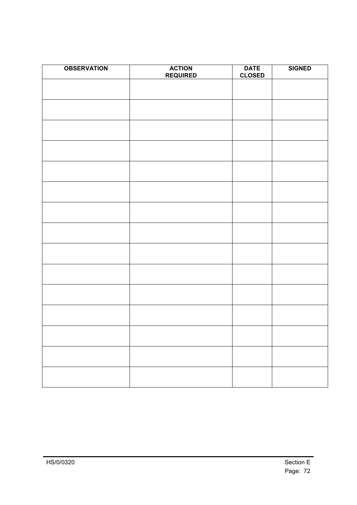| <b>OBSERVATION</b> | <b>ACTION</b><br><b>REQUIRED</b> | <b>DATE</b><br><b>CLOSED</b> | <b>SIGNED</b> |
|--------------------|----------------------------------|------------------------------|---------------|
|                    |                                  |                              |               |
|                    |                                  |                              |               |
|                    |                                  |                              |               |
|                    |                                  |                              |               |
|                    |                                  |                              |               |
|                    |                                  |                              |               |
|                    |                                  |                              |               |
|                    |                                  |                              |               |
|                    |                                  |                              |               |
|                    |                                  |                              |               |
|                    |                                  |                              |               |
|                    |                                  |                              |               |
|                    |                                  |                              |               |
|                    |                                  |                              |               |
|                    |                                  |                              |               |
|                    |                                  |                              |               |
|                    |                                  |                              |               |
|                    |                                  |                              |               |
|                    |                                  |                              |               |
|                    |                                  |                              |               |
|                    |                                  |                              |               |
|                    |                                  |                              |               |
|                    |                                  |                              |               |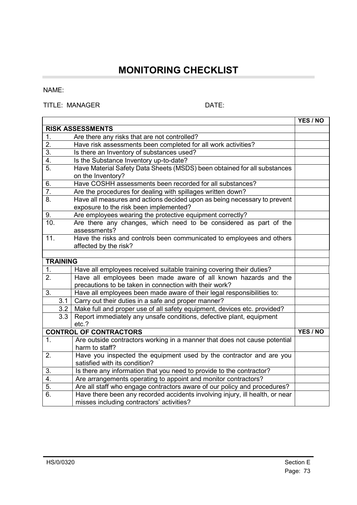## **MONITORING CHECKLIST**

#### NAME:

÷

#### TITLE: MANAGER DATE:

|                   |                  |                                                                                                                           | <b>YES / NO</b> |
|-------------------|------------------|---------------------------------------------------------------------------------------------------------------------------|-----------------|
|                   |                  | <b>RISK ASSESSMENTS</b>                                                                                                   |                 |
| 1.                |                  | Are there any risks that are not controlled?                                                                              |                 |
| $\overline{2}$ .  |                  | Have risk assessments been completed for all work activities?                                                             |                 |
| 3.                |                  | Is there an Inventory of substances used?                                                                                 |                 |
| 4.                |                  | Is the Substance Inventory up-to-date?                                                                                    |                 |
| 5.                |                  | Have Material Safety Data Sheets (MSDS) been obtained for all substances<br>on the Inventory?                             |                 |
| 6.                |                  | Have COSHH assessments been recorded for all substances?                                                                  |                 |
| 7.                |                  | Are the procedures for dealing with spillages written down?                                                               |                 |
| 8.                |                  | Have all measures and actions decided upon as being necessary to prevent<br>exposure to the risk been implemented?        |                 |
| 9.                |                  | Are employees wearing the protective equipment correctly?                                                                 |                 |
| 10.               |                  | Are there any changes, which need to be considered as part of the<br>assessments?                                         |                 |
| $\overline{11}$ . |                  | Have the risks and controls been communicated to employees and others<br>affected by the risk?                            |                 |
|                   |                  |                                                                                                                           |                 |
|                   | <b>TRAINING</b>  |                                                                                                                           |                 |
| 1.                |                  | Have all employees received suitable training covering their duties?                                                      |                 |
| $\overline{2}$ .  |                  | Have all employees been made aware of all known hazards and the                                                           |                 |
|                   |                  | precautions to be taken in connection with their work?                                                                    |                 |
| 3.                |                  | Have all employees been made aware of their legal responsibilities to:                                                    |                 |
|                   | 3.1              | Carry out their duties in a safe and proper manner?                                                                       |                 |
|                   | 3.2              | Make full and proper use of all safety equipment, devices etc. provided?                                                  |                 |
|                   | $\overline{3.3}$ | Report immediately any unsafe conditions, defective plant, equipment                                                      |                 |
|                   |                  | etc.?                                                                                                                     |                 |
|                   |                  | <b>CONTROL OF CONTRACTORS</b>                                                                                             | YES / NO        |
| 1.                |                  | Are outside contractors working in a manner that does not cause potential<br>harm to staff?                               |                 |
| 2.                |                  | Have you inspected the equipment used by the contractor and are you<br>satisfied with its condition?                      |                 |
| 3.                |                  | Is there any information that you need to provide to the contractor?                                                      |                 |
| 4.                |                  | Are arrangements operating to appoint and monitor contractors?                                                            |                 |
| 5.                |                  | Are all staff who engage contractors aware of our policy and procedures?                                                  |                 |
| 6.                |                  | Have there been any recorded accidents involving injury, ill health, or near<br>misses including contractors' activities? |                 |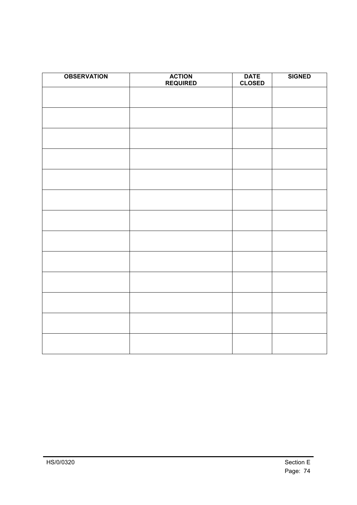| <b>OBSERVATION</b> | <b>ACTION</b><br><b>REQUIRED</b> | <b>DATE</b><br><b>CLOSED</b> | <b>SIGNED</b> |
|--------------------|----------------------------------|------------------------------|---------------|
|                    |                                  |                              |               |
|                    |                                  |                              |               |
|                    |                                  |                              |               |
|                    |                                  |                              |               |
|                    |                                  |                              |               |
|                    |                                  |                              |               |
|                    |                                  |                              |               |
|                    |                                  |                              |               |
|                    |                                  |                              |               |
|                    |                                  |                              |               |
|                    |                                  |                              |               |
|                    |                                  |                              |               |
|                    |                                  |                              |               |
|                    |                                  |                              |               |
|                    |                                  |                              |               |
|                    |                                  |                              |               |
|                    |                                  |                              |               |
|                    |                                  |                              |               |
|                    |                                  |                              |               |
|                    |                                  |                              |               |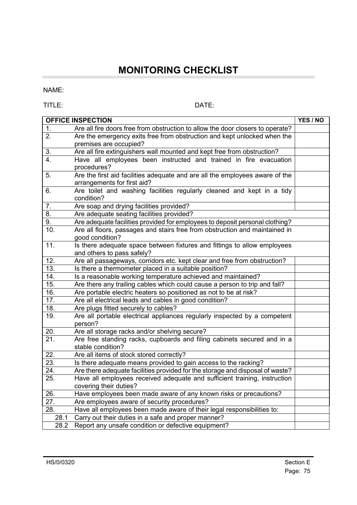## **MONITORING CHECKLIST**

NAME:

÷

TITLE: DATE:

|                   | <b>OFFICE INSPECTION</b>                                                                                    | YES / NO |
|-------------------|-------------------------------------------------------------------------------------------------------------|----------|
| 1.                | Are all fire doors free from obstruction to allow the door closers to operate?                              |          |
| 2.                | Are the emergency exits free from obstruction and kept unlocked when the<br>premises are occupied?          |          |
| 3.                | Are all fire extinguishers wall mounted and kept free from obstruction?                                     |          |
| 4.                | Have all employees been instructed and trained in fire evacuation<br>procedures?                            |          |
| 5.                | Are the first aid facilities adequate and are all the employees aware of the<br>arrangements for first aid? |          |
| 6.                | Are toilet and washing facilities regularly cleaned and kept in a tidy<br>condition?                        |          |
| 7.                | Are soap and drying facilities provided?                                                                    |          |
| 8.                | Are adequate seating facilities provided?                                                                   |          |
| 9.                | Are adequate facilities provided for employees to deposit personal clothing?                                |          |
| 10.               | Are all floors, passages and stairs free from obstruction and maintained in<br>good condition?              |          |
| 11.               | Is there adequate space between fixtures and fittings to allow employees<br>and others to pass safely?      |          |
| 12.               | Are all passageways, corridors etc. kept clear and free from obstruction?                                   |          |
| 13.               | Is there a thermometer placed in a suitable position?                                                       |          |
| 14.               | Is a reasonable working temperature achieved and maintained?                                                |          |
| 15.               | Are there any trailing cables which could cause a person to trip and fall?                                  |          |
| 16.               | Are portable electric heaters so positioned as not to be at risk?                                           |          |
| 17.               | Are all electrical leads and cables in good condition?                                                      |          |
| 18.               | Are plugs fitted securely to cables?                                                                        |          |
| 19.               | Are all portable electrical appliances regularly inspected by a competent<br>person?                        |          |
| 20.               | Are all storage racks and/or shelving secure?                                                               |          |
| 21.               | Are free standing racks, cupboards and filing cabinets secured and in a<br>stable condition?                |          |
| 22.               | Are all items of stock stored correctly?                                                                    |          |
| $\overline{23}$ . | Is there adequate means provided to gain access to the racking?                                             |          |
| 24.               | Are there adequate facilities provided for the storage and disposal of waste?                               |          |
| 25.               | Have all employees received adequate and sufficient training, instruction<br>covering their duties?         |          |
| 26.               | Have employees been made aware of any known risks or precautions?                                           |          |
| 27.               | Are employees aware of security procedures?                                                                 |          |
| 28.               | Have all employees been made aware of their legal responsibilities to:                                      |          |
| 28.1              | Carry out their duties in a safe and proper manner?                                                         |          |
| 28.2              | Report any unsafe condition or defective equipment?                                                         |          |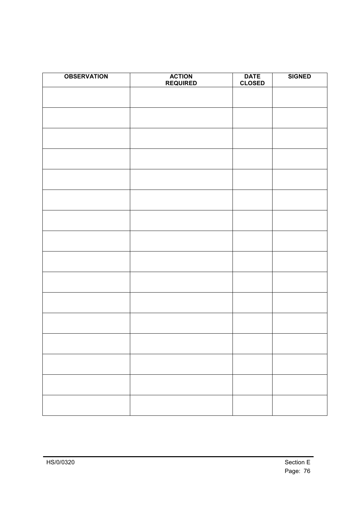| <b>OBSERVATION</b> | <b>ACTION</b><br><b>REQUIRED</b> | <b>DATE</b><br><b>CLOSED</b> | <b>SIGNED</b> |
|--------------------|----------------------------------|------------------------------|---------------|
|                    |                                  |                              |               |
|                    |                                  |                              |               |
|                    |                                  |                              |               |
|                    |                                  |                              |               |
|                    |                                  |                              |               |
|                    |                                  |                              |               |
|                    |                                  |                              |               |
|                    |                                  |                              |               |
|                    |                                  |                              |               |
|                    |                                  |                              |               |
|                    |                                  |                              |               |
|                    |                                  |                              |               |
|                    |                                  |                              |               |
|                    |                                  |                              |               |
|                    |                                  |                              |               |
|                    |                                  |                              |               |
|                    |                                  |                              |               |
|                    |                                  |                              |               |
|                    |                                  |                              |               |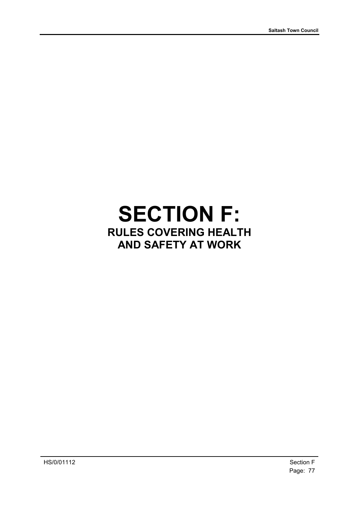## **SECTION F: RULES COVERING HEALTH AND SAFETY AT WORK**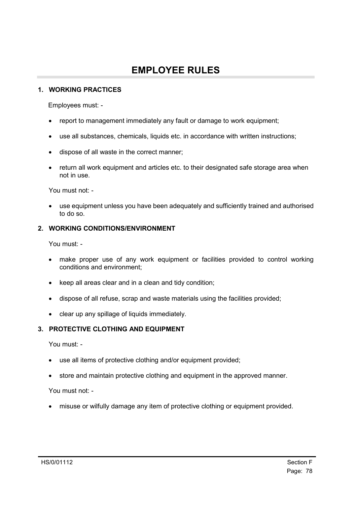## **EMPLOYEE RULES**

#### **1. WORKING PRACTICES**

Employees must: -

- report to management immediately any fault or damage to work equipment;
- use all substances, chemicals, liquids etc. in accordance with written instructions;
- dispose of all waste in the correct manner;
- return all work equipment and articles etc. to their designated safe storage area when not in use.

You must not: -

• use equipment unless you have been adequately and sufficiently trained and authorised to do so.

#### **2. WORKING CONDITIONS/ENVIRONMENT**

You must: -

- make proper use of any work equipment or facilities provided to control working conditions and environment;
- keep all areas clear and in a clean and tidy condition;
- dispose of all refuse, scrap and waste materials using the facilities provided;
- clear up any spillage of liquids immediately.

#### **3. PROTECTIVE CLOTHING AND EQUIPMENT**

You must: -

- use all items of protective clothing and/or equipment provided;
- store and maintain protective clothing and equipment in the approved manner.

You must not: -

• misuse or wilfully damage any item of protective clothing or equipment provided.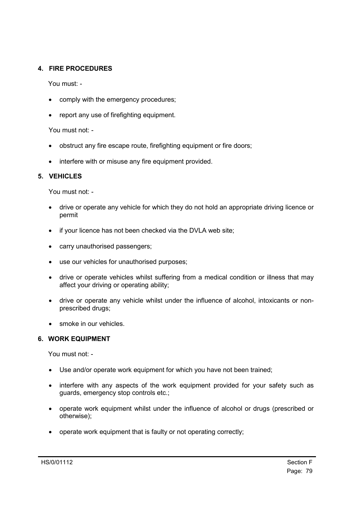#### **4. FIRE PROCEDURES**

You must: -

- comply with the emergency procedures;
- report any use of firefighting equipment.

You must not: -

- obstruct any fire escape route, firefighting equipment or fire doors;
- interfere with or misuse any fire equipment provided.

#### **5. VEHICLES**

You must not: -

- drive or operate any vehicle for which they do not hold an appropriate driving licence or permit
- if your licence has not been checked via the DVLA web site;
- carry unauthorised passengers;
- use our vehicles for unauthorised purposes;
- drive or operate vehicles whilst suffering from a medical condition or illness that may affect your driving or operating ability;
- drive or operate any vehicle whilst under the influence of alcohol, intoxicants or nonprescribed drugs;
- smoke in our vehicles.

#### **6. WORK EQUIPMENT**

You must not: -

- Use and/or operate work equipment for which you have not been trained;
- interfere with any aspects of the work equipment provided for your safety such as guards, emergency stop controls etc.;
- operate work equipment whilst under the influence of alcohol or drugs (prescribed or otherwise);
- operate work equipment that is faulty or not operating correctly;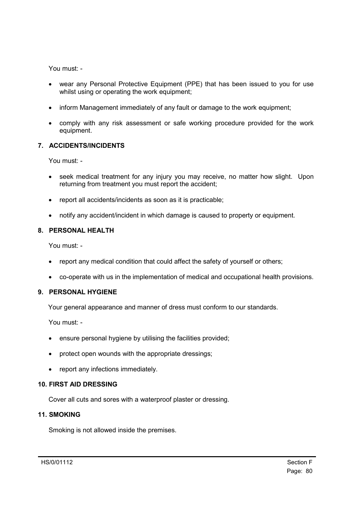You must: -

- wear any Personal Protective Equipment (PPE) that has been issued to you for use whilst using or operating the work equipment;
- inform Management immediately of any fault or damage to the work equipment;
- comply with any risk assessment or safe working procedure provided for the work equipment.

#### **7. ACCIDENTS/INCIDENTS**

You must: -

- seek medical treatment for any injury you may receive, no matter how slight. Upon returning from treatment you must report the accident;
- report all accidents/incidents as soon as it is practicable;
- notify any accident/incident in which damage is caused to property or equipment.

#### **8. PERSONAL HEALTH**

You must: -

- report any medical condition that could affect the safety of yourself or others;
- co-operate with us in the implementation of medical and occupational health provisions.

#### **9. PERSONAL HYGIENE**

Your general appearance and manner of dress must conform to our standards.

You must: -

- ensure personal hygiene by utilising the facilities provided;
- protect open wounds with the appropriate dressings;
- report any infections immediately.

#### **10. FIRST AID DRESSING**

Cover all cuts and sores with a waterproof plaster or dressing.

#### **11. SMOKING**

Smoking is not allowed inside the premises.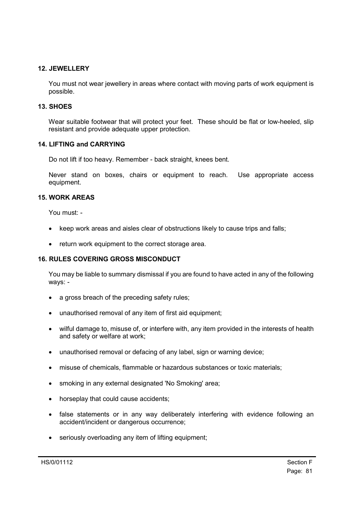#### **12. JEWELLERY**

You must not wear jewellery in areas where contact with moving parts of work equipment is possible.

#### **13. SHOES**

Wear suitable footwear that will protect your feet. These should be flat or low-heeled, slip resistant and provide adequate upper protection.

#### **14. LIFTING and CARRYING**

Do not lift if too heavy. Remember - back straight, knees bent.

Never stand on boxes, chairs or equipment to reach. Use appropriate access equipment.

#### **15. WORK AREAS**

You must: -

- keep work areas and aisles clear of obstructions likely to cause trips and falls;
- return work equipment to the correct storage area.

#### **16. RULES COVERING GROSS MISCONDUCT**

You may be liable to summary dismissal if you are found to have acted in any of the following ways: -

- a gross breach of the preceding safety rules;
- unauthorised removal of any item of first aid equipment:
- wilful damage to, misuse of, or interfere with, any item provided in the interests of health and safety or welfare at work;
- unauthorised removal or defacing of any label, sign or warning device;
- misuse of chemicals, flammable or hazardous substances or toxic materials;
- smoking in any external designated 'No Smoking' area;
- horseplay that could cause accidents;
- false statements or in any way deliberately interfering with evidence following an accident/incident or dangerous occurrence;
- seriously overloading any item of lifting equipment: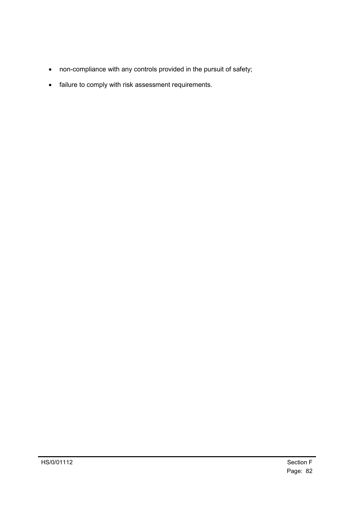- non-compliance with any controls provided in the pursuit of safety;
- failure to comply with risk assessment requirements.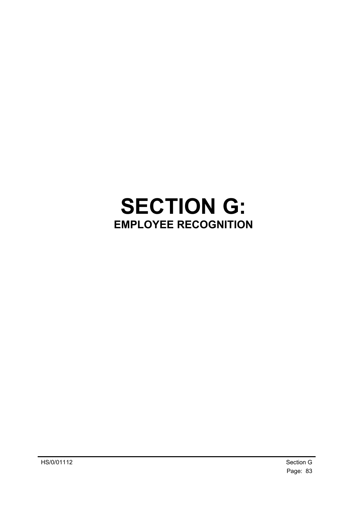# **SECTION G: EMPLOYEE RECOGNITION**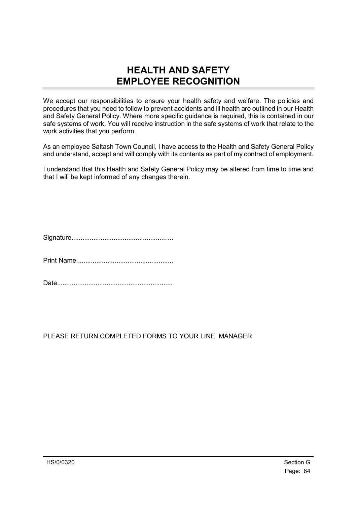### **HEALTH AND SAFETY EMPLOYEE RECOGNITION**

We accept our responsibilities to ensure your health safety and welfare. The policies and procedures that you need to follow to prevent accidents and ill health are outlined in our Health and Safety General Policy. Where more specific guidance is required, this is contained in our safe systems of work. You will receive instruction in the safe systems of work that relate to the work activities that you perform.

As an employee Saltash Town Council, I have access to the Health and Safety General Policy and understand, accept and will comply with its contents as part of my contract of employment.

I understand that this Health and Safety General Policy may be altered from time to time and that I will be kept informed of any changes therein.

Signature...................................................….

Print Name.....................................................

Date...............................................................

PLEASE RETURN COMPLETED FORMS TO YOUR LINE MANAGER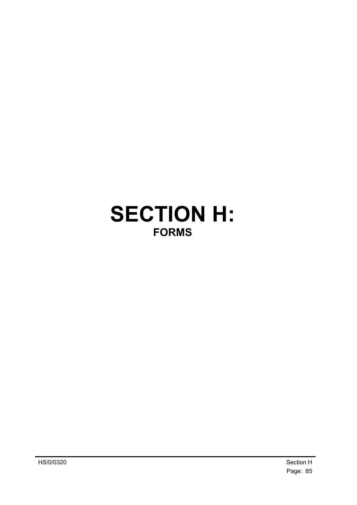## **SECTION H: FORMS**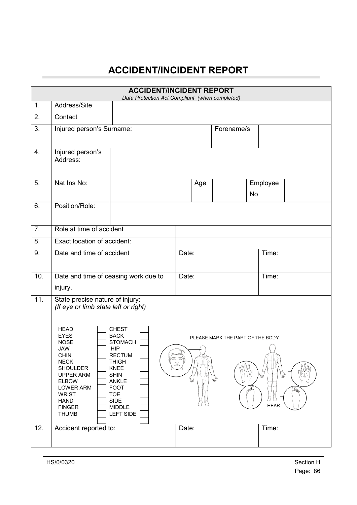## **ACCIDENT/INCIDENT REPORT**

|                  |                                                                                                                                                                                                                                                                                                      | <b>ACCIDENT/INCIDENT REPORT</b><br>Data Protection Act Compliant (when completed)                                                                                                               |           |                                        |                             |  |  |  |
|------------------|------------------------------------------------------------------------------------------------------------------------------------------------------------------------------------------------------------------------------------------------------------------------------------------------------|-------------------------------------------------------------------------------------------------------------------------------------------------------------------------------------------------|-----------|----------------------------------------|-----------------------------|--|--|--|
| 1 <sub>1</sub>   | Address/Site                                                                                                                                                                                                                                                                                         |                                                                                                                                                                                                 |           |                                        |                             |  |  |  |
| 2.               | Contact                                                                                                                                                                                                                                                                                              |                                                                                                                                                                                                 |           |                                        |                             |  |  |  |
| 3.               | Injured person's Surname:                                                                                                                                                                                                                                                                            |                                                                                                                                                                                                 |           | Forename/s                             |                             |  |  |  |
| 4.               | Injured person's<br>Address:                                                                                                                                                                                                                                                                         |                                                                                                                                                                                                 |           |                                        |                             |  |  |  |
| 5.               | Nat Ins No:                                                                                                                                                                                                                                                                                          |                                                                                                                                                                                                 | Age       | <b>No</b>                              | Employee                    |  |  |  |
| 6.               | Position/Role:                                                                                                                                                                                                                                                                                       |                                                                                                                                                                                                 |           |                                        |                             |  |  |  |
| $\overline{7}$ . | Role at time of accident                                                                                                                                                                                                                                                                             |                                                                                                                                                                                                 |           |                                        |                             |  |  |  |
| 8.               | Exact location of accident:                                                                                                                                                                                                                                                                          |                                                                                                                                                                                                 |           |                                        |                             |  |  |  |
| 9.               | Date and time of accident                                                                                                                                                                                                                                                                            |                                                                                                                                                                                                 | Date:     |                                        | Time:                       |  |  |  |
| 10.              | Date and time of ceasing work due to                                                                                                                                                                                                                                                                 |                                                                                                                                                                                                 | Date:     |                                        | Time:                       |  |  |  |
|                  | injury.                                                                                                                                                                                                                                                                                              |                                                                                                                                                                                                 |           |                                        |                             |  |  |  |
| 11.              | State precise nature of injury:<br>(If eye or limb state left or right)<br><b>HEAD</b><br><b>EYES</b><br><b>NOSE</b><br>JAW<br><b>CHIN</b><br><b>NECK</b><br><b>SHOULDER</b><br><b>UPPER ARM</b><br><b>ELBOW</b><br><b>LOWER ARM</b><br><b>WRIST</b><br><b>HAND</b><br><b>FINGER</b><br><b>THUMB</b> | <b>CHEST</b><br><b>BACK</b><br><b>STOMACH</b><br><b>HIP</b><br>RECTUM<br><b>THIGH</b><br>KNEE<br><b>SHIN</b><br><b>ANKLE</b><br><b>FOOT</b><br><b>TOE</b><br>SIDE<br><b>MIDDLE</b><br>LEFT SIDE | a a<br>(Y | PLEASE MARK THE PART OF THE BODY<br>PA | $\mathbb{R}$<br><b>REAR</b> |  |  |  |
| 12.              | Accident reported to:                                                                                                                                                                                                                                                                                |                                                                                                                                                                                                 | Date:     |                                        | Time:                       |  |  |  |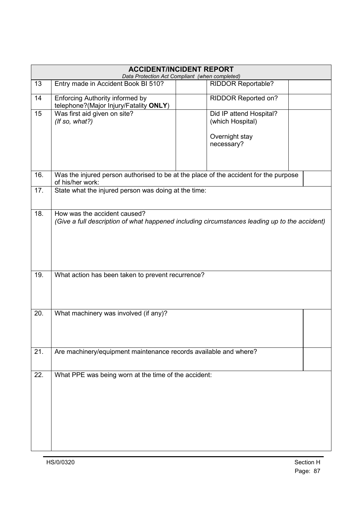|     | <b>ACCIDENT/INCIDENT REPORT</b><br>Data Protection Act Compliant (when completed)                                             |  |                                                                             |  |  |  |  |
|-----|-------------------------------------------------------------------------------------------------------------------------------|--|-----------------------------------------------------------------------------|--|--|--|--|
| 13  | Entry made in Accident Book BI 510?                                                                                           |  | <b>RIDDOR Reportable?</b>                                                   |  |  |  |  |
| 14  | <b>Enforcing Authority informed by</b><br>telephone?(Major Injury/Fatality ONLY)                                              |  | RIDDOR Reported on?                                                         |  |  |  |  |
| 15  | Was first aid given on site?<br>$($ If so, what? $)$                                                                          |  | Did IP attend Hospital?<br>(which Hospital)<br>Overnight stay<br>necessary? |  |  |  |  |
| 16. | Was the injured person authorised to be at the place of the accident for the purpose<br>of his/her work:                      |  |                                                                             |  |  |  |  |
| 17. | State what the injured person was doing at the time:                                                                          |  |                                                                             |  |  |  |  |
| 18. | How was the accident caused?<br>(Give a full description of what happened including circumstances leading up to the accident) |  |                                                                             |  |  |  |  |
| 19. | What action has been taken to prevent recurrence?                                                                             |  |                                                                             |  |  |  |  |
| 20. | What machinery was involved (if any)?                                                                                         |  |                                                                             |  |  |  |  |
| 21. | Are machinery/equipment maintenance records available and where?                                                              |  |                                                                             |  |  |  |  |
| 22. | What PPE was being worn at the time of the accident:                                                                          |  |                                                                             |  |  |  |  |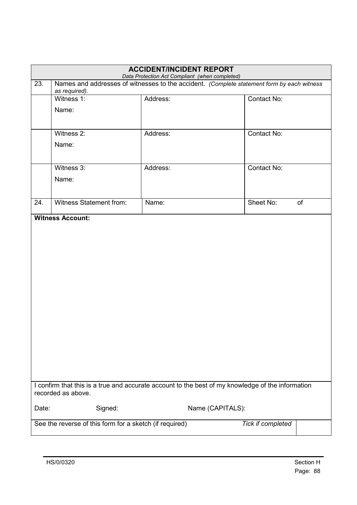| <b>ACCIDENT/INCIDENT REPORT</b><br>Data Protection Act Compliant (when completed)                                       |                                                                                                             |                  |             |    |  |  |  |
|-------------------------------------------------------------------------------------------------------------------------|-------------------------------------------------------------------------------------------------------------|------------------|-------------|----|--|--|--|
| 23.                                                                                                                     | Names and addresses of witnesses to the accident. (Complete statement form by each witness<br>as required). |                  |             |    |  |  |  |
|                                                                                                                         | Witness 1:                                                                                                  | Address:         | Contact No: |    |  |  |  |
|                                                                                                                         | Name:                                                                                                       |                  |             |    |  |  |  |
|                                                                                                                         |                                                                                                             |                  |             |    |  |  |  |
|                                                                                                                         | Witness 2:                                                                                                  | Address:         | Contact No: |    |  |  |  |
|                                                                                                                         | Name:                                                                                                       |                  |             |    |  |  |  |
|                                                                                                                         | Witness 3:                                                                                                  | Address:         | Contact No: |    |  |  |  |
|                                                                                                                         | Name:                                                                                                       |                  |             |    |  |  |  |
| 24.                                                                                                                     | <b>Witness Statement from:</b>                                                                              | Name:            | Sheet No:   | of |  |  |  |
| <b>Witness Account:</b>                                                                                                 |                                                                                                             |                  |             |    |  |  |  |
| I confirm that this is a true and accurate account to the best of my knowledge of the information<br>recorded as above. |                                                                                                             |                  |             |    |  |  |  |
| Date:                                                                                                                   | Signed:                                                                                                     | Name (CAPITALS): |             |    |  |  |  |
| See the reverse of this form for a sketch (if required)<br>Tick if completed                                            |                                                                                                             |                  |             |    |  |  |  |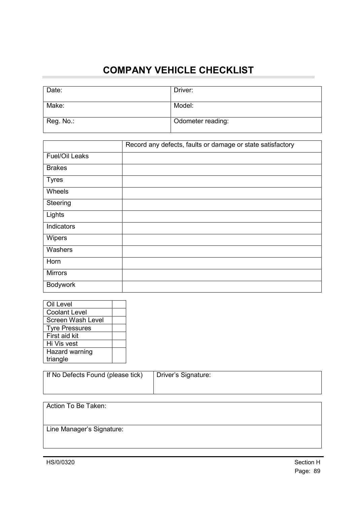## **COMPANY VEHICLE CHECKLIST**

| Date:     | Driver:           |
|-----------|-------------------|
| Make:     | Model:            |
| Reg. No.: | Odometer reading: |

|                       | Record any defects, faults or damage or state satisfactory |
|-----------------------|------------------------------------------------------------|
| <b>Fuel/Oil Leaks</b> |                                                            |
| <b>Brakes</b>         |                                                            |
| <b>Tyres</b>          |                                                            |
| Wheels                |                                                            |
| Steering              |                                                            |
| Lights                |                                                            |
| Indicators            |                                                            |
| Wipers                |                                                            |
| Washers               |                                                            |
| Horn                  |                                                            |
| <b>Mirrors</b>        |                                                            |
| Bodywork              |                                                            |

| Oil Level             |  |
|-----------------------|--|
| <b>Coolant Level</b>  |  |
| Screen Wash Level     |  |
| <b>Tyre Pressures</b> |  |
| First aid kit         |  |
| Hi Vis vest           |  |
| Hazard warning        |  |
| triangle              |  |

| If No Defects Found (please tick) | Driver's Signature: |
|-----------------------------------|---------------------|
|                                   |                     |

| Action To Be Taken:       |  |
|---------------------------|--|
| Line Manager's Signature: |  |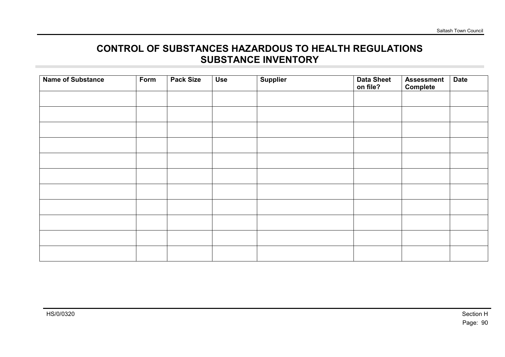### **CONTROL OF SUBSTANCES HAZARDOUS TO HEALTH REGULATIONS SUBSTANCE INVENTORY**

| <b>Name of Substance</b> | Form | <b>Pack Size</b> | <b>Use</b> | <b>Supplier</b> | <b>Data Sheet</b><br>on file? | <b>Assessment</b><br>Complete | <b>Date</b> |
|--------------------------|------|------------------|------------|-----------------|-------------------------------|-------------------------------|-------------|
|                          |      |                  |            |                 |                               |                               |             |
|                          |      |                  |            |                 |                               |                               |             |
|                          |      |                  |            |                 |                               |                               |             |
|                          |      |                  |            |                 |                               |                               |             |
|                          |      |                  |            |                 |                               |                               |             |
|                          |      |                  |            |                 |                               |                               |             |
|                          |      |                  |            |                 |                               |                               |             |
|                          |      |                  |            |                 |                               |                               |             |
|                          |      |                  |            |                 |                               |                               |             |
|                          |      |                  |            |                 |                               |                               |             |
|                          |      |                  |            |                 |                               |                               |             |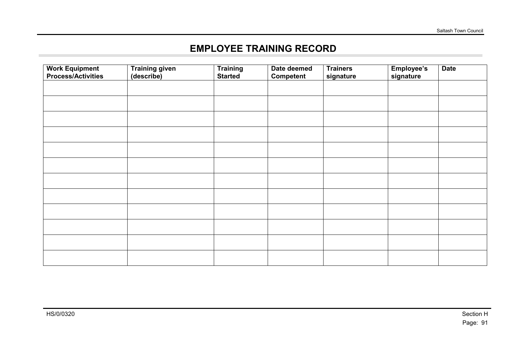## **EMPLOYEE TRAINING RECORD**

| <b>Work Equipment</b><br><b>Process/Activities</b> | <b>Training given</b><br>(describe) | <b>Training</b><br><b>Started</b> | Date deemed<br><b>Competent</b> | <b>Trainers</b><br>signature | Employee's<br>signature | <b>Date</b> |
|----------------------------------------------------|-------------------------------------|-----------------------------------|---------------------------------|------------------------------|-------------------------|-------------|
|                                                    |                                     |                                   |                                 |                              |                         |             |
|                                                    |                                     |                                   |                                 |                              |                         |             |
|                                                    |                                     |                                   |                                 |                              |                         |             |
|                                                    |                                     |                                   |                                 |                              |                         |             |
|                                                    |                                     |                                   |                                 |                              |                         |             |
|                                                    |                                     |                                   |                                 |                              |                         |             |
|                                                    |                                     |                                   |                                 |                              |                         |             |
|                                                    |                                     |                                   |                                 |                              |                         |             |
|                                                    |                                     |                                   |                                 |                              |                         |             |
|                                                    |                                     |                                   |                                 |                              |                         |             |
|                                                    |                                     |                                   |                                 |                              |                         |             |
|                                                    |                                     |                                   |                                 |                              |                         |             |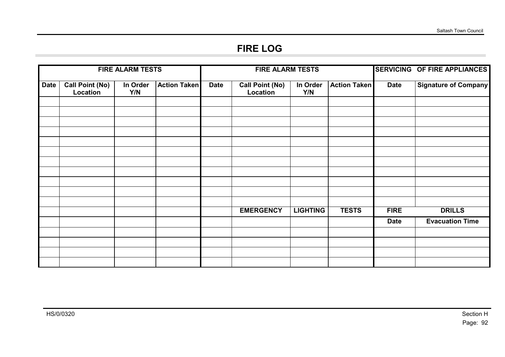## **FIRE LOG**

| <b>FIRE ALARM TESTS</b> |                                    |                 |                     | <b>FIRE ALARM TESTS</b> |                                    |                 | <b>SERVICING OF FIRE APPLIANCES</b> |             |                             |
|-------------------------|------------------------------------|-----------------|---------------------|-------------------------|------------------------------------|-----------------|-------------------------------------|-------------|-----------------------------|
| <b>Date</b>             | <b>Call Point (No)</b><br>Location | In Order<br>Y/N | <b>Action Taken</b> | <b>Date</b>             | <b>Call Point (No)</b><br>Location | In Order<br>Y/N | <b>Action Taken</b>                 | <b>Date</b> | <b>Signature of Company</b> |
|                         |                                    |                 |                     |                         |                                    |                 |                                     |             |                             |
|                         |                                    |                 |                     |                         |                                    |                 |                                     |             |                             |
|                         |                                    |                 |                     |                         |                                    |                 |                                     |             |                             |
|                         |                                    |                 |                     |                         |                                    |                 |                                     |             |                             |
|                         |                                    |                 |                     |                         |                                    |                 |                                     |             |                             |
|                         |                                    |                 |                     |                         |                                    |                 |                                     |             |                             |
|                         |                                    |                 |                     |                         |                                    |                 |                                     |             |                             |
|                         |                                    |                 |                     |                         |                                    |                 |                                     |             |                             |
|                         |                                    |                 |                     |                         |                                    |                 |                                     |             |                             |
|                         |                                    |                 |                     |                         |                                    |                 |                                     |             |                             |
|                         |                                    |                 |                     |                         |                                    |                 |                                     |             |                             |
|                         |                                    |                 |                     |                         | <b>EMERGENCY</b>                   | <b>LIGHTING</b> | <b>TESTS</b>                        | <b>FIRE</b> | <b>DRILLS</b>               |
|                         |                                    |                 |                     |                         |                                    |                 |                                     | <b>Date</b> | <b>Evacuation Time</b>      |
|                         |                                    |                 |                     |                         |                                    |                 |                                     |             |                             |
|                         |                                    |                 |                     |                         |                                    |                 |                                     |             |                             |
|                         |                                    |                 |                     |                         |                                    |                 |                                     |             |                             |
|                         |                                    |                 |                     |                         |                                    |                 |                                     |             |                             |

**College**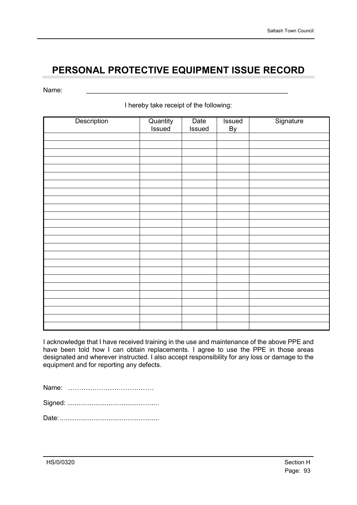## **PERSONAL PROTECTIVE EQUIPMENT ISSUE RECORD**

Name: \_\_\_\_\_\_\_\_\_\_\_\_\_\_\_\_\_\_\_\_\_\_\_\_\_\_\_\_\_\_\_\_\_\_\_\_\_\_\_\_\_\_\_\_\_\_\_\_\_\_\_\_\_\_\_

I hereby take receipt of the following:

| Description | Quantity<br>Issued | Date<br>Issued | Issued<br><b>By</b> | Signature |
|-------------|--------------------|----------------|---------------------|-----------|
|             |                    |                |                     |           |
|             |                    |                |                     |           |
|             |                    |                |                     |           |
|             |                    |                |                     |           |
|             |                    |                |                     |           |
|             |                    |                |                     |           |
|             |                    |                |                     |           |
|             |                    |                |                     |           |
|             |                    |                |                     |           |
|             |                    |                |                     |           |
|             |                    |                |                     |           |
|             |                    |                |                     |           |
|             |                    |                |                     |           |
|             |                    |                |                     |           |
|             |                    |                |                     |           |
|             |                    |                |                     |           |
|             |                    |                |                     |           |
|             |                    |                |                     |           |
|             |                    |                |                     |           |
|             |                    |                |                     |           |
|             |                    |                |                     |           |
|             |                    |                |                     |           |
|             |                    |                |                     |           |
|             |                    |                |                     |           |
|             |                    |                |                     |           |

I acknowledge that I have received training in the use and maintenance of the above PPE and have been told how I can obtain replacements. I agree to use the PPE in those areas designated and wherever instructed. I also accept responsibility for any loss or damage to the equipment and for reporting any defects.

Name: …………………………………

Signed: .................................................

Date:.....................................................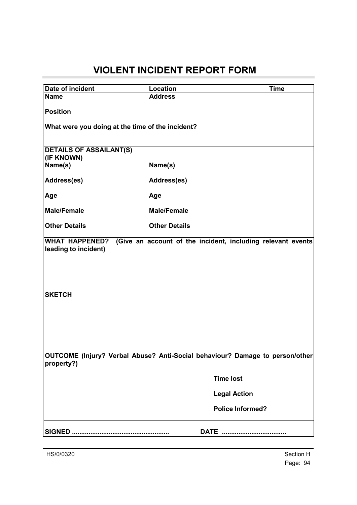## **VIOLENT INCIDENT REPORT FORM**

| Date of incident                                                                           | Location                                                    | <b>Time</b> |  |  |  |  |  |
|--------------------------------------------------------------------------------------------|-------------------------------------------------------------|-------------|--|--|--|--|--|
| <b>Name</b>                                                                                | <b>Address</b>                                              |             |  |  |  |  |  |
| <b>Position</b>                                                                            |                                                             |             |  |  |  |  |  |
| What were you doing at the time of the incident?                                           |                                                             |             |  |  |  |  |  |
| <b>DETAILS OF ASSAILANT(S)</b><br>(IF KNOWN)                                               |                                                             |             |  |  |  |  |  |
| Name(s)                                                                                    | Name(s)                                                     |             |  |  |  |  |  |
| Address(es)                                                                                | Address(es)                                                 |             |  |  |  |  |  |
| Age                                                                                        | Age                                                         |             |  |  |  |  |  |
| <b>Male/Female</b>                                                                         | <b>Male/Female</b>                                          |             |  |  |  |  |  |
| <b>Other Details</b>                                                                       | <b>Other Details</b>                                        |             |  |  |  |  |  |
| <b>WHAT HAPPENED?</b>                                                                      | (Give an account of the incident, including relevant events |             |  |  |  |  |  |
| leading to incident)                                                                       |                                                             |             |  |  |  |  |  |
|                                                                                            |                                                             |             |  |  |  |  |  |
|                                                                                            |                                                             |             |  |  |  |  |  |
|                                                                                            |                                                             |             |  |  |  |  |  |
| <b>SKETCH</b>                                                                              |                                                             |             |  |  |  |  |  |
|                                                                                            |                                                             |             |  |  |  |  |  |
|                                                                                            |                                                             |             |  |  |  |  |  |
|                                                                                            |                                                             |             |  |  |  |  |  |
|                                                                                            |                                                             |             |  |  |  |  |  |
| OUTCOME (Injury? Verbal Abuse? Anti-Social behaviour? Damage to person/other<br>property?) |                                                             |             |  |  |  |  |  |
|                                                                                            | <b>Time lost</b>                                            |             |  |  |  |  |  |
|                                                                                            |                                                             |             |  |  |  |  |  |
|                                                                                            | <b>Legal Action</b>                                         |             |  |  |  |  |  |
|                                                                                            | <b>Police Informed?</b>                                     |             |  |  |  |  |  |
|                                                                                            | DATE                                                        |             |  |  |  |  |  |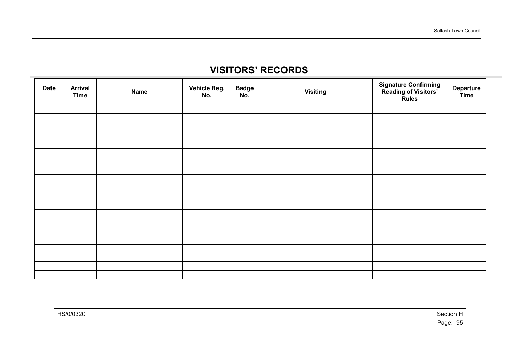## **VISITORS' RECORDS**

| <b>Date</b> | <b>Arrival</b><br><b>Time</b> | <b>Name</b> | Vehicle Reg.<br>No. | <b>Badge</b><br>No. | <b>Visiting</b> | <b>Signature Confirming<br/>Reading of Visitors'<br/>Rules</b> | <b>Departure</b><br>Time |
|-------------|-------------------------------|-------------|---------------------|---------------------|-----------------|----------------------------------------------------------------|--------------------------|
|             |                               |             |                     |                     |                 |                                                                |                          |
|             |                               |             |                     |                     |                 |                                                                |                          |
|             |                               |             |                     |                     |                 |                                                                |                          |
|             |                               |             |                     |                     |                 |                                                                |                          |
|             |                               |             |                     |                     |                 |                                                                |                          |
|             |                               |             |                     |                     |                 |                                                                |                          |
|             |                               |             |                     |                     |                 |                                                                |                          |
|             |                               |             |                     |                     |                 |                                                                |                          |
|             |                               |             |                     |                     |                 |                                                                |                          |
|             |                               |             |                     |                     |                 |                                                                |                          |
|             |                               |             |                     |                     |                 |                                                                |                          |
|             |                               |             |                     |                     |                 |                                                                |                          |
|             |                               |             |                     |                     |                 |                                                                |                          |
|             |                               |             |                     |                     |                 |                                                                |                          |
|             |                               |             |                     |                     |                 |                                                                |                          |
|             |                               |             |                     |                     |                 |                                                                |                          |
|             |                               |             |                     |                     |                 |                                                                |                          |
|             |                               |             |                     |                     |                 |                                                                |                          |
|             |                               |             |                     |                     |                 |                                                                |                          |
|             |                               |             |                     |                     |                 |                                                                |                          |